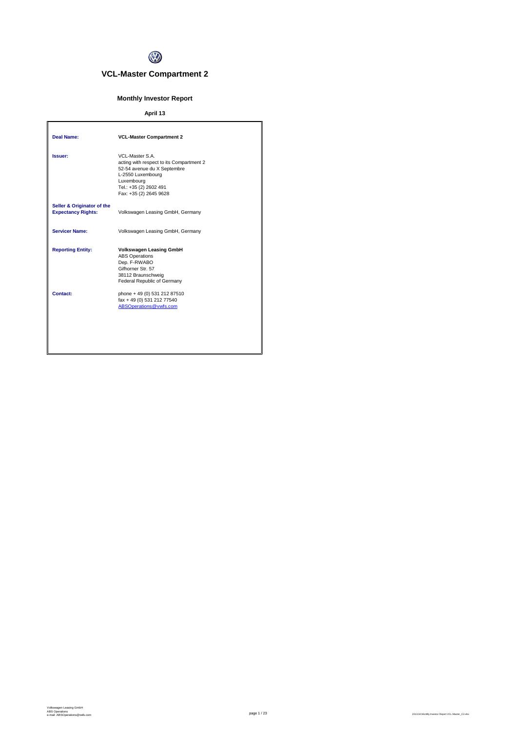

# **VCL-Master Compartment 2**

# **Monthly Investor Report**

# **April 13**

| Deal Name:                                              | <b>VCL-Master Compartment 2</b>                                                                                                                                                   |
|---------------------------------------------------------|-----------------------------------------------------------------------------------------------------------------------------------------------------------------------------------|
| Issuer:                                                 | VCL-Master S.A.<br>acting with respect to its Compartment 2<br>52-54 avenue du X Septembre<br>L-2550 Luxembourg<br>Luxembourg<br>Tel.: +35 (2) 2602 491<br>Fax: +35 (2) 2645 9628 |
| Seller & Originator of the<br><b>Expectancy Rights:</b> | Volkswagen Leasing GmbH, Germany                                                                                                                                                  |
| <b>Servicer Name:</b>                                   | Volkswagen Leasing GmbH, Germany                                                                                                                                                  |
| <b>Reporting Entity:</b>                                | <b>Volkswagen Leasing GmbH</b><br><b>ABS Operations</b><br>Dep. F-RWABO<br>Gifhorner Str. 57<br>38112 Braunschweig<br>Federal Republic of Germany                                 |
| Contact:                                                | phone + 49 (0) 531 212 87510<br>fax + 49 (0) 531 212 77540<br>ABSOperations@vwfs.com                                                                                              |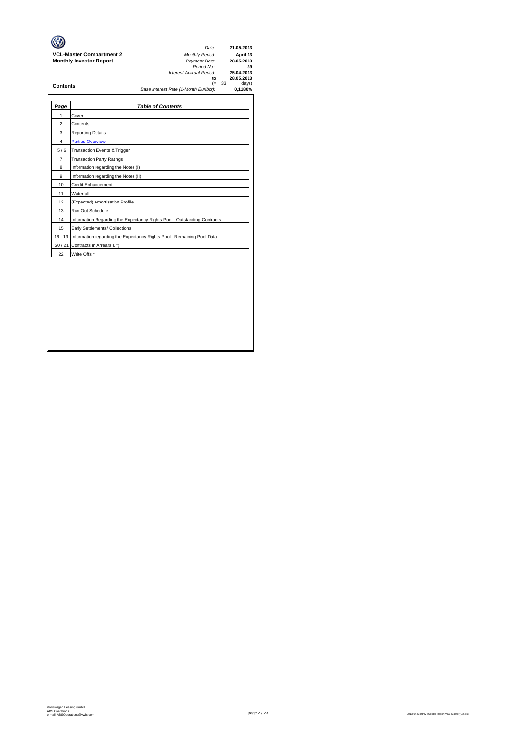|                                 | Date:                                 | 21.05.2013 |
|---------------------------------|---------------------------------------|------------|
| <b>VCL-Master Compartment 2</b> | <b>Monthly Period:</b>                | April 13   |
| <b>Monthly Investor Report</b>  | Payment Date:                         | 28.05.2013 |
|                                 | Period No.:                           | 39         |
|                                 | Interest Accrual Period:              | 25.04.2013 |
|                                 | to                                    | 28.05.2013 |
| <b>Contents</b>                 | $(= 33)$                              | days)      |
|                                 | Base Interest Rate (1-Month Euribor): | 0.1180%    |
|                                 |                                       |            |
|                                 |                                       |            |

| Page  | <b>Table of Contents</b>                                                       |
|-------|--------------------------------------------------------------------------------|
| 1     | Cover                                                                          |
| 2     | Contents                                                                       |
| 3     | <b>Reporting Details</b>                                                       |
| 4     | <b>Parties Overview</b>                                                        |
| 5/6   | Transaction Events & Trigger                                                   |
| 7     | <b>Transaction Party Ratings</b>                                               |
| 8     | Information regarding the Notes (I)                                            |
| 9     | Information regarding the Notes (II)                                           |
| 10    | <b>Credit Enhancement</b>                                                      |
| 11    | Waterfall                                                                      |
| 12    | (Expected) Amortisation Profile                                                |
| 13    | Run Out Schedule                                                               |
| 14    | Information Regarding the Expectancy Rights Pool - Outstanding Contracts       |
| 15    | Early Settlements/ Collections                                                 |
|       | 16 - 19 Information regarding the Expectancy Rights Pool - Remaining Pool Data |
| 20/21 | Contracts in Arrears I. *)                                                     |
| 22    | Write Offs *                                                                   |
|       |                                                                                |
|       |                                                                                |
|       |                                                                                |
|       |                                                                                |
|       |                                                                                |
|       |                                                                                |
|       |                                                                                |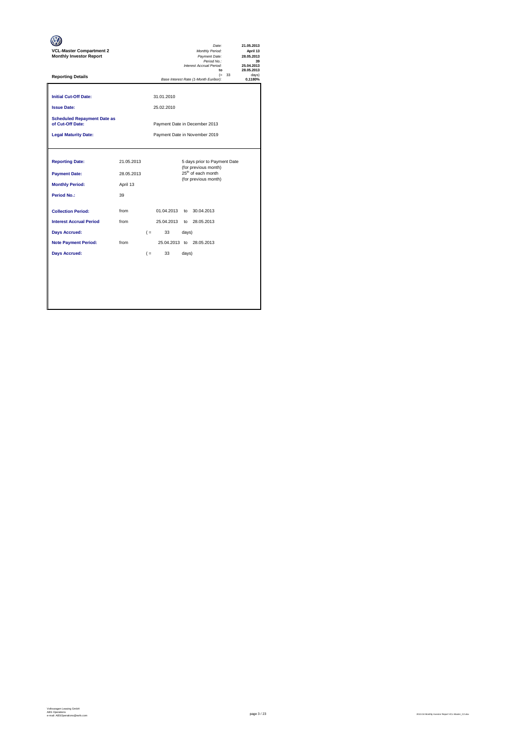| <b>VCL-Master Compartment 2</b><br><b>Monthly Investor Report</b> |                               |       |                          |       | Date:<br>Monthly Period:<br>Payment Date:<br>Period No.:<br>Interest Accrual Period:<br>to |          | 21.05.2013<br>April 13<br>28.05.2013<br>39<br>25.04.2013<br>28.05.2013 |
|-------------------------------------------------------------------|-------------------------------|-------|--------------------------|-------|--------------------------------------------------------------------------------------------|----------|------------------------------------------------------------------------|
| <b>Reporting Details</b>                                          |                               |       |                          |       | Base Interest Rate (1-Month Euribor):                                                      | $(= 33)$ | davs)<br>0,1180%                                                       |
| <b>Initial Cut-Off Date:</b><br><b>Issue Date:</b>                |                               |       | 31.01.2010<br>25.02.2010 |       |                                                                                            |          |                                                                        |
| <b>Scheduled Repayment Date as</b><br>of Cut-Off Date:            |                               |       |                          |       | Payment Date in December 2013                                                              |          |                                                                        |
| <b>Legal Maturity Date:</b>                                       | Payment Date in November 2019 |       |                          |       |                                                                                            |          |                                                                        |
|                                                                   |                               |       |                          |       |                                                                                            |          |                                                                        |
| <b>Reporting Date:</b>                                            | 21.05.2013                    |       |                          |       | 5 days prior to Payment Date<br>(for previous month)                                       |          |                                                                        |
| <b>Payment Date:</b>                                              | 28.05.2013                    |       |                          |       | 25 <sup>th</sup> of each month<br>(for previous month)                                     |          |                                                                        |
| <b>Monthly Period:</b>                                            | April 13                      |       |                          |       |                                                                                            |          |                                                                        |
| Period No.:                                                       | 39                            |       |                          |       |                                                                                            |          |                                                                        |
| <b>Collection Period:</b>                                         | from                          |       | 01.04.2013               | to    | 30.04.2013                                                                                 |          |                                                                        |
| <b>Interest Accrual Period</b>                                    | from                          |       | 25.04.2013               |       | to 28.05.2013                                                                              |          |                                                                        |
| <b>Days Accrued:</b>                                              |                               | $($ = | 33                       | days) |                                                                                            |          |                                                                        |
| <b>Note Payment Period:</b>                                       | from                          |       |                          |       | 25.04.2013 to 28.05.2013                                                                   |          |                                                                        |
| <b>Days Accrued:</b>                                              |                               | $($ = | 33                       | days) |                                                                                            |          |                                                                        |
|                                                                   |                               |       |                          |       |                                                                                            |          |                                                                        |
|                                                                   |                               |       |                          |       |                                                                                            |          |                                                                        |
|                                                                   |                               |       |                          |       |                                                                                            |          |                                                                        |
|                                                                   |                               |       |                          |       |                                                                                            |          |                                                                        |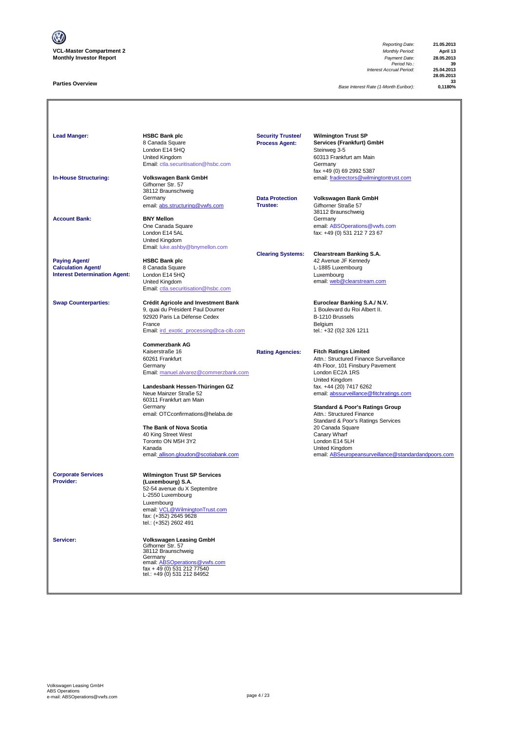

# **Parties Overview**

*Reporting Date:* **21.05.2013** *Period No.:* **39** *Interest Accrual Period:* **25.04.2013**

**28.05.2013 33**

**Base Interest Rate (1-Month Euribor):** 

| <b>Lead Manger:</b><br><b>In-House Structuring:</b>                                       | <b>HSBC Bank plc</b><br>8 Canada Square<br>London E14 5HQ<br>United Kingdom<br>Email: ctla.securitisation@hsbc.com<br>Volkswagen Bank GmbH                                                                                                                                                                                                                                        | <b>Security Trustee/</b><br><b>Process Agent:</b> | <b>Wilmington Trust SP</b><br>Services (Frankfurt) GmbH<br>Steinweg 3-5<br>60313 Frankfurt am Main<br>Germany<br>fax +49 (0) 69 2992 5387<br>email: fradirectors@wilmingtontrust.com                                                                                                                                                                                                                                                                                  |
|-------------------------------------------------------------------------------------------|-----------------------------------------------------------------------------------------------------------------------------------------------------------------------------------------------------------------------------------------------------------------------------------------------------------------------------------------------------------------------------------|---------------------------------------------------|-----------------------------------------------------------------------------------------------------------------------------------------------------------------------------------------------------------------------------------------------------------------------------------------------------------------------------------------------------------------------------------------------------------------------------------------------------------------------|
|                                                                                           | Gifhorner Str. 57<br>38112 Braunschweig<br>Germany<br>email: abs.structuring@vwfs.com                                                                                                                                                                                                                                                                                             | <b>Data Protection</b><br>Trustee:                | Volkswagen Bank GmbH<br>Gifhorner Straße 57<br>38112 Braunschweig                                                                                                                                                                                                                                                                                                                                                                                                     |
| <b>Account Bank:</b>                                                                      | <b>BNY Mellon</b><br>One Canada Square<br>London E14 5AL<br><b>United Kingdom</b><br>Email: luke.ashby@bnymellon.com                                                                                                                                                                                                                                                              |                                                   | Germany<br>email: ABSOperations@vwfs.com<br>fax: +49 (0) 531 212 7 23 67                                                                                                                                                                                                                                                                                                                                                                                              |
| <b>Paying Agent/</b><br><b>Calculation Agent/</b><br><b>Interest Determination Agent:</b> | <b>HSBC Bank plc</b><br>8 Canada Square<br>London E14 5HQ<br>United Kingdom<br>Email: ctla.securitisation@hsbc.com                                                                                                                                                                                                                                                                | <b>Clearing Systems:</b>                          | <b>Clearstream Banking S.A.</b><br>42 Avenue JF Kennedy<br>L-1885 Luxembourg<br>Luxembourg<br>email: web@clearstream.com                                                                                                                                                                                                                                                                                                                                              |
| <b>Swap Counterparties:</b>                                                               | <b>Crédit Agricole and Investment Bank</b><br>9, quai du Président Paul Doumer<br>92920 Paris La Défense Cedex<br>France<br>Email: ird exotic processing@ca-cib.com                                                                                                                                                                                                               |                                                   | Euroclear Banking S.A./ N.V.<br>1 Boulevard du Roi Albert II.<br>B-1210 Brussels<br>Belgium<br>tel.: +32 (0)2 326 1211                                                                                                                                                                                                                                                                                                                                                |
|                                                                                           | <b>Commerzbank AG</b><br>Kaiserstraße 16<br>60261 Frankfurt<br>Germany<br>Email: manuel.alvarez@commerzbank.com<br>Landesbank Hessen-Thüringen GZ<br>Neue Mainzer Straße 52<br>60311 Frankfurt am Main<br>Germany<br>email: OTCconfirmations@helaba.de<br>The Bank of Nova Scotia<br>40 King Street West<br>Toronto ON M5H 3Y2<br>Kanada<br>email: allison.gloudon@scotiabank.com | <b>Rating Agencies:</b>                           | <b>Fitch Ratings Limited</b><br>Attn.: Structured Finance Surveillance<br>4th Floor, 101 Finsbury Pavement<br>London EC2A 1RS<br>United Kingdom<br>fax. +44 (20) 7417 6262<br>email: abssurveillance@fitchratings.com<br><b>Standard &amp; Poor's Ratings Group</b><br>Attn.: Structured Finance<br>Standard & Poor's Ratings Services<br>20 Canada Square<br>Canary Wharf<br>London E14 5LH<br>United Kingdom<br>email: ABSeuropeansurveillance@standardandpoors.com |
| <b>Corporate Services</b><br>Provider:                                                    | <b>Wilmington Trust SP Services</b><br>(Luxembourg) S.A.<br>52-54 avenue du X Septembre<br>L-2550 Luxembourg<br>Luxembourg<br>email: VCL@WilmingtonTrust.com<br>fax: (+352) 2645 9628<br>tel.: (+352) 2602 491                                                                                                                                                                    |                                                   |                                                                                                                                                                                                                                                                                                                                                                                                                                                                       |
| Servicer:                                                                                 | Volkswagen Leasing GmbH<br>Gifhorner Str. 57<br>38112 Braunschweig<br>Germany<br>email: ABSOperations@vwfs.com<br>fax + 49 (0) 531 212 77540<br>tel.: +49 (0) 531 212 84952                                                                                                                                                                                                       |                                                   |                                                                                                                                                                                                                                                                                                                                                                                                                                                                       |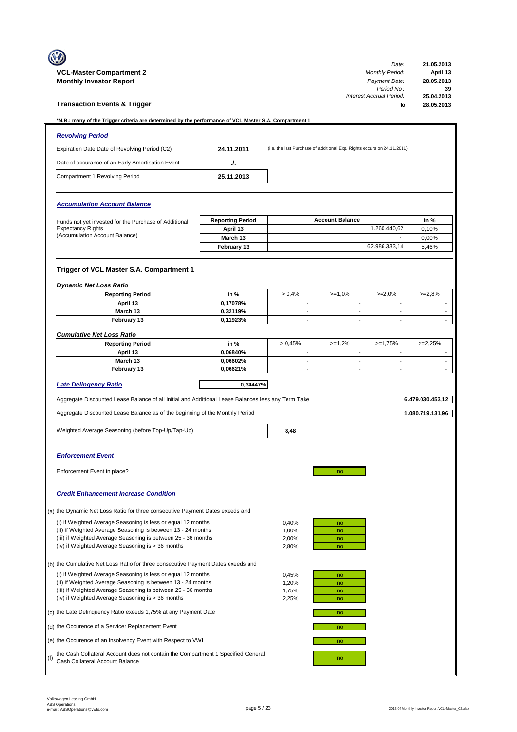|     | <b>VCL-Master Compartment 2</b><br><b>Monthly Investor Report</b>                                                                                                                                                                                  |                         |                                                      |                                                                         | Date:<br><b>Monthly Period:</b><br>Payment Date: | 21.05.2013<br>April 13<br>28.05.2013 |
|-----|----------------------------------------------------------------------------------------------------------------------------------------------------------------------------------------------------------------------------------------------------|-------------------------|------------------------------------------------------|-------------------------------------------------------------------------|--------------------------------------------------|--------------------------------------|
|     | <b>Transaction Events &amp; Trigger</b>                                                                                                                                                                                                            |                         |                                                      |                                                                         | Period No.:<br>Interest Accrual Period:<br>to    | 39<br>25.04.2013<br>28.05.2013       |
|     | *N.B.: many of the Trigger criteria are determined by the performance of VCL Master S.A. Compartment 1                                                                                                                                             |                         |                                                      |                                                                         |                                                  |                                      |
|     | <b>Revolving Period</b>                                                                                                                                                                                                                            |                         |                                                      |                                                                         |                                                  |                                      |
|     | Expiration Date Date of Revolving Period (C2)                                                                                                                                                                                                      | 24.11.2011              |                                                      | (i.e. the last Purchase of additional Exp. Rights occurs on 24.11.2011) |                                                  |                                      |
|     | Date of occurance of an Early Amortisation Event                                                                                                                                                                                                   | J.                      |                                                      |                                                                         |                                                  |                                      |
|     | Compartment 1 Revolving Period                                                                                                                                                                                                                     | 25.11.2013              |                                                      |                                                                         |                                                  |                                      |
|     | <b>Accumulation Account Balance</b>                                                                                                                                                                                                                |                         |                                                      |                                                                         |                                                  |                                      |
|     | Funds not yet invested for the Purchase of Additional                                                                                                                                                                                              | <b>Reporting Period</b> |                                                      | <b>Account Balance</b>                                                  |                                                  | in %                                 |
|     | <b>Expectancy Rights</b>                                                                                                                                                                                                                           | April 13                |                                                      |                                                                         | 1.260.440.62                                     | 0,10%                                |
|     | (Accumulation Account Balance)                                                                                                                                                                                                                     | March 13                |                                                      |                                                                         |                                                  | 0.00%                                |
|     |                                                                                                                                                                                                                                                    | February 13             |                                                      |                                                                         | 62.986.333,14                                    | 5,46%                                |
|     | Trigger of VCL Master S.A. Compartment 1                                                                                                                                                                                                           |                         |                                                      |                                                                         |                                                  |                                      |
|     | <b>Dynamic Net Loss Ratio</b>                                                                                                                                                                                                                      |                         |                                                      |                                                                         |                                                  |                                      |
|     | <b>Reporting Period</b><br>April 13                                                                                                                                                                                                                | in %<br>0,17078%        | > 0.4%<br>$\overline{\phantom{a}}$                   | $>=1,0%$<br>$\overline{\phantom{a}}$                                    | $>=2,0%$<br>$\overline{\phantom{a}}$             | $>=2,8%$                             |
|     | March 13                                                                                                                                                                                                                                           | 0,32119%                | $\blacksquare$                                       | $\sim$                                                                  | $\sim$                                           | $\overline{\phantom{a}}$             |
|     | February 13                                                                                                                                                                                                                                        | 0,11923%                | $\overline{\phantom{a}}$                             | $\blacksquare$                                                          | $\blacksquare$                                   | ÷.                                   |
|     | <b>Cumulative Net Loss Ratio</b>                                                                                                                                                                                                                   |                         |                                                      |                                                                         |                                                  |                                      |
|     | <b>Reporting Period</b>                                                                                                                                                                                                                            | in %                    | > 0.45%                                              | $>=1,2%$                                                                | $>=1,75%$                                        | $>=2,25%$                            |
|     | April 13                                                                                                                                                                                                                                           | 0,06840%                | ÷,                                                   | $\sim$                                                                  | $\sim$                                           |                                      |
|     | March 13<br>February 13                                                                                                                                                                                                                            | 0,06602%<br>0,06621%    | $\overline{\phantom{a}}$<br>$\overline{\phantom{a}}$ | $\blacksquare$<br>$\overline{\phantom{a}}$                              | $\blacksquare$<br>$\overline{\phantom{a}}$       | $\blacksquare$<br>$\blacksquare$     |
|     |                                                                                                                                                                                                                                                    |                         |                                                      |                                                                         |                                                  |                                      |
|     | <b>Late Delingency Ratio</b>                                                                                                                                                                                                                       | 0.34447%                |                                                      |                                                                         |                                                  |                                      |
|     | Aggregate Discounted Lease Balance of all Initial and Additional Lease Balances less any Term Take                                                                                                                                                 |                         |                                                      |                                                                         |                                                  | 6.479.030.453,12                     |
|     | Aggregate Discounted Lease Balance as of the beginning of the Monthly Period                                                                                                                                                                       |                         |                                                      |                                                                         |                                                  | 1.080.719.131,96                     |
|     | Weighted Average Seasoning (before Top-Up/Tap-Up)                                                                                                                                                                                                  |                         | 8,48                                                 |                                                                         |                                                  |                                      |
|     | <b>Enforcement Event</b>                                                                                                                                                                                                                           |                         |                                                      |                                                                         |                                                  |                                      |
|     | Enforcement Event in place?                                                                                                                                                                                                                        |                         |                                                      | no                                                                      |                                                  |                                      |
|     | <b>Credit Enhancement Increase Condition</b>                                                                                                                                                                                                       |                         |                                                      |                                                                         |                                                  |                                      |
|     | (a) the Dynamic Net Loss Ratio for three consecutive Payment Dates exeeds and                                                                                                                                                                      |                         |                                                      |                                                                         |                                                  |                                      |
|     | (i) if Weighted Average Seasoning is less or equal 12 months<br>(ii) if Weighted Average Seasoning is between 13 - 24 months<br>(iii) if Weighted Average Seasoning is between 25 - 36 months<br>(iv) if Weighted Average Seasoning is > 36 months |                         | 0,40%<br>1,00%<br>2,00%<br>2,80%                     | no<br>no<br>no<br>no                                                    |                                                  |                                      |
|     | (b) the Cumulative Net Loss Ratio for three consecutive Payment Dates exeeds and                                                                                                                                                                   |                         |                                                      |                                                                         |                                                  |                                      |
|     | (i) if Weighted Average Seasoning is less or equal 12 months                                                                                                                                                                                       |                         | 0,45%                                                | no                                                                      |                                                  |                                      |
|     | (ii) if Weighted Average Seasoning is between 13 - 24 months<br>(iii) if Weighted Average Seasoning is between 25 - 36 months<br>(iv) if Weighted Average Seasoning is > 36 months                                                                 |                         | 1,20%<br>1,75%<br>2,25%                              | no<br>no<br>no                                                          |                                                  |                                      |
|     | (c) the Late Delinquency Ratio exeeds 1,75% at any Payment Date                                                                                                                                                                                    |                         |                                                      | no                                                                      |                                                  |                                      |
|     | (d) the Occurence of a Servicer Replacement Event                                                                                                                                                                                                  |                         |                                                      | no                                                                      |                                                  |                                      |
|     | (e) the Occurence of an Insolvency Event with Respect to VWL                                                                                                                                                                                       |                         |                                                      | no                                                                      |                                                  |                                      |
| (f) | the Cash Collateral Account does not contain the Compartment 1 Specified General<br>Cash Collateral Account Balance                                                                                                                                |                         |                                                      | no                                                                      |                                                  |                                      |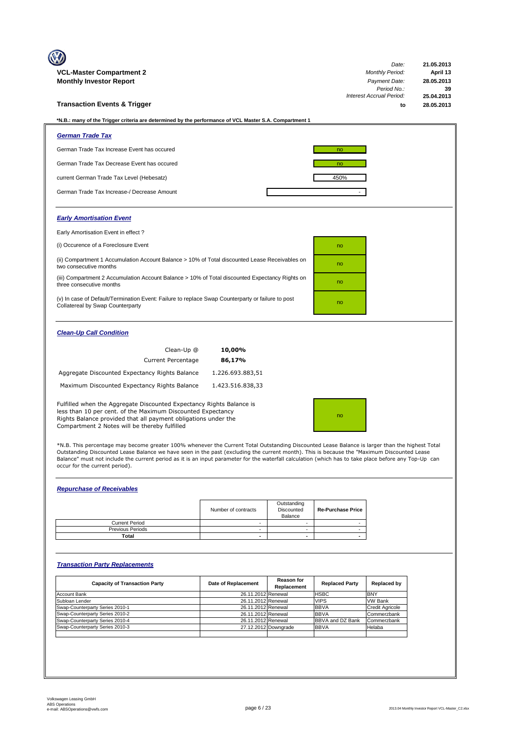| <b>VCL-Master Compartment 2</b>                                                                                                                                                                                                                        |                  | Date:<br><b>Monthly Period:</b> | 21.05.2013<br>April 13 |
|--------------------------------------------------------------------------------------------------------------------------------------------------------------------------------------------------------------------------------------------------------|------------------|---------------------------------|------------------------|
| <b>Monthly Investor Report</b>                                                                                                                                                                                                                         |                  | Payment Date:                   | 28.05.2013             |
|                                                                                                                                                                                                                                                        |                  | Period No.:                     | 39                     |
|                                                                                                                                                                                                                                                        |                  | <b>Interest Accrual Period:</b> | 25.04.2013             |
| <b>Transaction Events &amp; Trigger</b>                                                                                                                                                                                                                |                  | to                              | 28.05.2013             |
| *N.B.: many of the Trigger criteria are determined by the performance of VCL Master S.A. Compartment 1                                                                                                                                                 |                  |                                 |                        |
| <b>German Trade Tax</b>                                                                                                                                                                                                                                |                  |                                 |                        |
| German Trade Tax Increase Event has occured                                                                                                                                                                                                            |                  | no                              |                        |
| German Trade Tax Decrease Event has occured                                                                                                                                                                                                            |                  | no                              |                        |
| current German Trade Tax Level (Hebesatz)                                                                                                                                                                                                              |                  | 450%                            |                        |
| German Trade Tax Increase-/ Decrease Amount                                                                                                                                                                                                            |                  |                                 |                        |
| <b>Early Amortisation Event</b>                                                                                                                                                                                                                        |                  |                                 |                        |
| Early Amortisation Event in effect?                                                                                                                                                                                                                    |                  |                                 |                        |
| (i) Occurence of a Foreclosure Event                                                                                                                                                                                                                   |                  | no                              |                        |
| (ii) Compartment 1 Accumulation Account Balance > 10% of Total discounted Lease Receivables on<br>two consecutive months                                                                                                                               |                  | no                              |                        |
| (iii) Compartment 2 Accumulation Account Balance > 10% of Total discounted Expectancy Rights on<br>three consecutive months                                                                                                                            |                  | no                              |                        |
| (v) In case of Default/Termination Event: Failure to replace Swap Counterparty or failure to post<br>Collatereal by Swap Counterparty                                                                                                                  |                  | no                              |                        |
| <b>Clean-Up Call Condition</b>                                                                                                                                                                                                                         |                  |                                 |                        |
| Clean-Up @                                                                                                                                                                                                                                             | 10,00%           |                                 |                        |
| <b>Current Percentage</b>                                                                                                                                                                                                                              | 86,17%           |                                 |                        |
| Aggregate Discounted Expectancy Rights Balance                                                                                                                                                                                                         | 1.226.693.883,51 |                                 |                        |
| Maximum Discounted Expectancy Rights Balance                                                                                                                                                                                                           | 1.423.516.838,33 |                                 |                        |
| Fulfilled when the Aggregate Discounted Expectancy Rights Balance is<br>less than 10 per cent. of the Maximum Discounted Expectancy<br>Rights Balance provided that all payment obligations under the<br>Compartment 2 Notes will be thereby fulfilled |                  | no                              |                        |

\*N.B. This percentage may become greater 100% whenever the Current Total Outstanding Discounted Lease Balance is larger than the highest Total<br>Outstanding Discounted Lease Balance we have seen in the past (excluding the cu Balance" must not include the current period as it is an input parameter for the waterfall calculation (which has to take place before any Top-Up can occur for the current period).

# *Repurchase of Receivables*

|                         | Number of contracts | Outstanding<br>Discounted<br>Balance | <b>Re-Purchase Price</b> |
|-------------------------|---------------------|--------------------------------------|--------------------------|
| <b>Current Period</b>   |                     |                                      |                          |
| <b>Previous Periods</b> |                     |                                      |                          |
| Total                   |                     |                                      |                          |

# *Transaction Party Replacements*

| <b>Capacity of Transaction Party</b> | Date of Replacement | <b>Reason for</b><br>Replacement | <b>Replaced Party</b>   | Replaced by            |
|--------------------------------------|---------------------|----------------------------------|-------------------------|------------------------|
| <b>Account Bank</b>                  | 26.11.2012 Renewal  |                                  | <b>HSBC</b>             | <b>BNY</b>             |
| Subloan Lender                       | 26.11.2012 Renewal  |                                  | <b>VIPS</b>             | <b>VW Bank</b>         |
| Swap-Counterparty Series 2010-1      | 26.11.2012 Renewal  |                                  | <b>BBVA</b>             | <b>Credit Agricole</b> |
| Swap-Counterparty Series 2010-2      | 26.11.2012 Renewal  |                                  | <b>BBVA</b>             | Commerzbank            |
| Swap-Counterparty Series 2010-4      | 26.11.2012 Renewal  |                                  | <b>BBVA and DZ Bank</b> | Commerzbank            |
| Swap-Counterparty Series 2010-3      |                     | 27.12.2012 Downgrade             | <b>BBVA</b>             | Helaba                 |
|                                      |                     |                                  |                         |                        |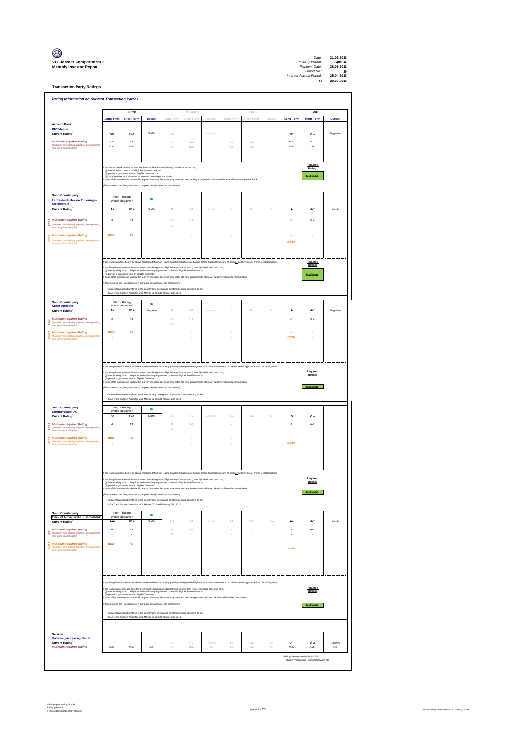| $\mathbb{C}$                                                      |
|-------------------------------------------------------------------|
| <b>VCL-Master Compartment</b> :<br><b>Monthly Investor Report</b> |

**Transaction Party Ratings**

|                                                                                                                          | <b>Rating Information on relevant Transaction Parties</b>                                                                                                          |                                                         |                                                                                                                                                                                                                                                                                                                                                                                                                      |                              |                |          |                          |            |         |                                                                                                                                                                                                                                                |                     |          |  |  |  |  |  |  |
|--------------------------------------------------------------------------------------------------------------------------|--------------------------------------------------------------------------------------------------------------------------------------------------------------------|---------------------------------------------------------|----------------------------------------------------------------------------------------------------------------------------------------------------------------------------------------------------------------------------------------------------------------------------------------------------------------------------------------------------------------------------------------------------------------------|------------------------------|----------------|----------|--------------------------|------------|---------|------------------------------------------------------------------------------------------------------------------------------------------------------------------------------------------------------------------------------------------------|---------------------|----------|--|--|--|--|--|--|
|                                                                                                                          |                                                                                                                                                                    | Fitch                                                   |                                                                                                                                                                                                                                                                                                                                                                                                                      |                              | Moody's        |          |                          | DBRS       |         |                                                                                                                                                                                                                                                | <b>S&amp;P</b>      |          |  |  |  |  |  |  |
| <b>Account Bank:</b>                                                                                                     | <b>Long Term</b>                                                                                                                                                   | <b>Short Term</b>                                       | Outlook                                                                                                                                                                                                                                                                                                                                                                                                              | Long Term                    | Short Term     | Outlook  | Long Term                | Short Term | Outlook | <b>Long Term</b>                                                                                                                                                                                                                               | <b>Short Term</b>   | Outlook  |  |  |  |  |  |  |
| <b>BNY Mellon</b><br><b>Current Rating</b>                                                                               | AA-                                                                                                                                                                | $F1+$                                                   | Stable                                                                                                                                                                                                                                                                                                                                                                                                               | Aa3                          |                | Negative |                          |            |         | A+                                                                                                                                                                                                                                             | A-1                 | Negative |  |  |  |  |  |  |
| <b>Minimum required Rating</b><br>(if no short term Rating available, the higher long<br>term rating is applicable)      | n.a.<br>n.a.                                                                                                                                                       | F1<br>n.a.                                              |                                                                                                                                                                                                                                                                                                                                                                                                                      | n.a<br>n.a                   | n.a.<br>n.a    |          | n.a.<br>n.a              | n.a<br>n.a |         | n.a.<br>n.a                                                                                                                                                                                                                                    | $A-1$<br>n.a.       |          |  |  |  |  |  |  |
|                                                                                                                          |                                                                                                                                                                    |                                                         |                                                                                                                                                                                                                                                                                                                                                                                                                      |                              |                |          |                          |            |         |                                                                                                                                                                                                                                                |                     |          |  |  |  |  |  |  |
|                                                                                                                          |                                                                                                                                                                    |                                                         | the Account Bank ceases to have the Account Bank Required Rating it shall, at its own cost,                                                                                                                                                                                                                                                                                                                          |                              |                |          |                          |            |         |                                                                                                                                                                                                                                                | Required<br>Rating: |          |  |  |  |  |  |  |
|                                                                                                                          |                                                                                                                                                                    | (ii) provide a guarantee from an Eligible Guaranter, or | (i) transfer the accounts to an Eligible Collateral Bank, or<br>(ii) take any other action in order to maintain the rating of the Notes.                                                                                                                                                                                                                                                                             |                              |                |          |                          |            |         |                                                                                                                                                                                                                                                | fulfilled           |          |  |  |  |  |  |  |
|                                                                                                                          |                                                                                                                                                                    |                                                         | f none of the measures is taken within a given timespan, the Issuer may enter into new banking arrangements at its own initiative with another Account Bank<br>Please refer to the Prospectus for a complete description of the mechanism)                                                                                                                                                                           |                              |                |          |                          |            |         |                                                                                                                                                                                                                                                |                     |          |  |  |  |  |  |  |
| Swap Counterparty:                                                                                                       |                                                                                                                                                                    | Fitch - Rating                                          | <b>NO</b>                                                                                                                                                                                                                                                                                                                                                                                                            |                              |                |          |                          |            |         |                                                                                                                                                                                                                                                |                     |          |  |  |  |  |  |  |
| Landesbank Hessen Thueringen<br>Girozentrale<br><b>Current Rating</b>                                                    | A+                                                                                                                                                                 | Watch Negative?<br>$F1+$                                | Stable                                                                                                                                                                                                                                                                                                                                                                                                               | A2                           | $p_{-1}$       | Stable   | $\theta$                 | $\Omega$   |         | A                                                                                                                                                                                                                                              | $A-1$               | Stable   |  |  |  |  |  |  |
| <b>Minimum required Rating</b>                                                                                           | A                                                                                                                                                                  | F1                                                      |                                                                                                                                                                                                                                                                                                                                                                                                                      | A2                           | $p_{-1}$       |          |                          |            |         | Δ                                                                                                                                                                                                                                              | $A-1$               |          |  |  |  |  |  |  |
| Lovell<br>(if no short term Rating available, the higher long<br>m rating is applicable)                                 |                                                                                                                                                                    |                                                         |                                                                                                                                                                                                                                                                                                                                                                                                                      | $\triangle$ 1                |                |          |                          |            |         |                                                                                                                                                                                                                                                |                     |          |  |  |  |  |  |  |
| <b>Minimum required Rating</b>                                                                                           | <b>RRR</b>                                                                                                                                                         | F <sub>2</sub>                                          |                                                                                                                                                                                                                                                                                                                                                                                                                      |                              |                |          |                          |            |         |                                                                                                                                                                                                                                                |                     |          |  |  |  |  |  |  |
| (if no short term Rating available, the higher long<br>term rating is applicable)                                        |                                                                                                                                                                    |                                                         |                                                                                                                                                                                                                                                                                                                                                                                                                      |                              |                |          |                          |            |         | <b>RRR</b>                                                                                                                                                                                                                                     |                     |          |  |  |  |  |  |  |
|                                                                                                                          |                                                                                                                                                                    |                                                         |                                                                                                                                                                                                                                                                                                                                                                                                                      |                              |                |          |                          |            |         |                                                                                                                                                                                                                                                |                     |          |  |  |  |  |  |  |
|                                                                                                                          |                                                                                                                                                                    |                                                         | t the Swap Bank falls below the above mentioned Minimum Rating (Level I) it shall provide Eligible Credit Support by means of Cash or certain types of Prime Debt Obligations<br>f the Swap Bank ceases to have the even lower Rating as an Eligible Swap Counterparty (Level II) it shall, at its own cost,<br>(i) transfer all rights and obligations under the Swap Agreement to another Eligible Swap Partner or |                              |                |          |                          |            |         |                                                                                                                                                                                                                                                | Required<br>Rating: |          |  |  |  |  |  |  |
|                                                                                                                          |                                                                                                                                                                    | (ii) provide a guarantee from an Eligible Guaranter.    | ne of the measures is taken within a given timespan, the Issuer may enter into new arrangements at its own initiative with another Swap Bank.                                                                                                                                                                                                                                                                        |                              |                |          |                          |            |         |                                                                                                                                                                                                                                                | fulfilled           |          |  |  |  |  |  |  |
|                                                                                                                          |                                                                                                                                                                    |                                                         | (Please refer to the Prospectus for a complete description of the mechanism)<br>Collateral has been transfered to the counterparty downgrade collateral account according to the                                                                                                                                                                                                                                     |                              |                |          |                          |            |         |                                                                                                                                                                                                                                                |                     |          |  |  |  |  |  |  |
| Swap Counterparty:                                                                                                       |                                                                                                                                                                    | Fitch - Rating                                          | ISDA Credit Support Annex for VCL Master C2 dated February 23rd 2010.                                                                                                                                                                                                                                                                                                                                                |                              |                |          |                          |            |         |                                                                                                                                                                                                                                                |                     |          |  |  |  |  |  |  |
| <b>Crédit Agricole</b><br><b>Current Rating</b>                                                                          | A                                                                                                                                                                  | Watch Negative?<br>$F1+$                                | <b>NO</b><br>Negative                                                                                                                                                                                                                                                                                                                                                                                                | A2                           | $P-1$          | Negative | $\theta$                 | $\theta$   | 0       | A                                                                                                                                                                                                                                              | $A-1$               | Negative |  |  |  |  |  |  |
| <b>Minimum required Rating</b><br><b>Sevent</b><br>(if no short term Rating available, the higher long                   | A                                                                                                                                                                  | F1                                                      |                                                                                                                                                                                                                                                                                                                                                                                                                      | A2                           | $p_{-1}$       |          |                          |            |         | A                                                                                                                                                                                                                                              | $A-1$               |          |  |  |  |  |  |  |
| term rating is applicable)<br><b>Minimum required Rating</b>                                                             | BBB+                                                                                                                                                               | F2                                                      |                                                                                                                                                                                                                                                                                                                                                                                                                      | A1                           |                |          |                          |            |         |                                                                                                                                                                                                                                                |                     |          |  |  |  |  |  |  |
| Ī<br>(if no short term Rating available, the higher long<br>term rating is applicable)                                   |                                                                                                                                                                    |                                                         |                                                                                                                                                                                                                                                                                                                                                                                                                      |                              |                |          |                          |            |         | <b>BBB</b>                                                                                                                                                                                                                                     |                     |          |  |  |  |  |  |  |
|                                                                                                                          |                                                                                                                                                                    |                                                         |                                                                                                                                                                                                                                                                                                                                                                                                                      |                              |                |          |                          |            |         |                                                                                                                                                                                                                                                |                     |          |  |  |  |  |  |  |
|                                                                                                                          |                                                                                                                                                                    |                                                         |                                                                                                                                                                                                                                                                                                                                                                                                                      |                              |                |          |                          |            |         |                                                                                                                                                                                                                                                |                     |          |  |  |  |  |  |  |
|                                                                                                                          |                                                                                                                                                                    |                                                         | If the Swap Bank falls below the above mentioned Minimum Rating (Level I) it shall provide Eligible Credit Support by means of Cash or certain types of Prime Debt Obligations<br>the Swap Bank ceases to have the even lower Rating as an Eligible Swap Counterparty (Level II) it shall, at its own cost, (1) the Swap Counterparty (Level II) it shall, at its own cost,<br>(1) tangleter all rights and obligat  |                              |                |          |                          |            |         |                                                                                                                                                                                                                                                | Required            |          |  |  |  |  |  |  |
|                                                                                                                          |                                                                                                                                                                    | (ii) provide a guarantee from an Eligible Guaranter.    |                                                                                                                                                                                                                                                                                                                                                                                                                      |                              |                |          |                          |            |         |                                                                                                                                                                                                                                                | Rating:             |          |  |  |  |  |  |  |
|                                                                                                                          |                                                                                                                                                                    |                                                         |                                                                                                                                                                                                                                                                                                                                                                                                                      |                              |                |          |                          |            |         | f none of the measures is taken within a given timespan, the Issuer may enter into new arrangements at its own initiative with another Swap Bank.<br>fulfilled<br>(Please refer to the Prospectus for a complete description of the mechanism) |                     |          |  |  |  |  |  |  |
|                                                                                                                          | ral has been transfered to the counterparty downgrade collateral account according to the<br>ISDA Credit Support Annex for VCL Master C2 dated February 23rd 2010. |                                                         |                                                                                                                                                                                                                                                                                                                                                                                                                      |                              |                |          |                          |            |         |                                                                                                                                                                                                                                                |                     |          |  |  |  |  |  |  |
|                                                                                                                          |                                                                                                                                                                    |                                                         |                                                                                                                                                                                                                                                                                                                                                                                                                      |                              |                |          |                          |            |         |                                                                                                                                                                                                                                                |                     |          |  |  |  |  |  |  |
| Swap Counterparty:<br><b>Commerzbank AG</b>                                                                              |                                                                                                                                                                    | Fitch - Rating<br>Watch Negative?                       | <b>NO</b>                                                                                                                                                                                                                                                                                                                                                                                                            |                              |                |          |                          |            |         |                                                                                                                                                                                                                                                |                     |          |  |  |  |  |  |  |
| <b>Current Rating</b><br><b>Minimum required Rating</b>                                                                  | A+<br>А                                                                                                                                                            | $F1+$<br>F <sub>1</sub>                                 | Stable                                                                                                                                                                                                                                                                                                                                                                                                               | A3<br>A2                     | $P-2$<br>$P-1$ | Negative | n.a                      | n.a        | n.a.    | A<br>А                                                                                                                                                                                                                                         | A-1<br>$A-1$        |          |  |  |  |  |  |  |
| Š<br>(if no short term Rating available, the higher long<br>term rating is applicable)                                   |                                                                                                                                                                    |                                                         |                                                                                                                                                                                                                                                                                                                                                                                                                      | A1                           |                |          |                          |            |         |                                                                                                                                                                                                                                                |                     |          |  |  |  |  |  |  |
| <b>Minimum required Rating</b><br>Ī<br>(if no short term Rating available, the higher long<br>term rating is applicable) | BBB+                                                                                                                                                               | F2                                                      |                                                                                                                                                                                                                                                                                                                                                                                                                      |                              |                |          |                          |            |         | BBB+                                                                                                                                                                                                                                           |                     |          |  |  |  |  |  |  |
|                                                                                                                          |                                                                                                                                                                    |                                                         |                                                                                                                                                                                                                                                                                                                                                                                                                      |                              |                |          |                          |            |         |                                                                                                                                                                                                                                                |                     |          |  |  |  |  |  |  |
|                                                                                                                          |                                                                                                                                                                    |                                                         |                                                                                                                                                                                                                                                                                                                                                                                                                      |                              |                |          |                          |            |         |                                                                                                                                                                                                                                                |                     |          |  |  |  |  |  |  |
|                                                                                                                          |                                                                                                                                                                    |                                                         | If the Swap Bank falls below the above mentioned Minimum Rating (Level I) it shall provide Eligible Credit Support by means of Cash or certain types of Prime Debt Obligations                                                                                                                                                                                                                                       |                              |                |          |                          |            |         |                                                                                                                                                                                                                                                |                     |          |  |  |  |  |  |  |
|                                                                                                                          |                                                                                                                                                                    |                                                         | f the Swap Bank ceases to have the even lower Rating as an Eligible Swap Counterparty (Level II) it shall, at its own cost,<br>(i) transfer all rights and obligations under the Swap Agreement to another Eligible Swap Partner or                                                                                                                                                                                  |                              |                |          |                          |            |         |                                                                                                                                                                                                                                                | Required<br>Rating: |          |  |  |  |  |  |  |
|                                                                                                                          |                                                                                                                                                                    |                                                         | (ii) provide a guarantee from an Eligible Guarantor.<br>(ii) provide a guarantee from an Eligible Guarantor.<br>none of the measures is taken within a given timespan, the Issuer may enter into new arrangements at its own initiat<br>(Please refer to the Prospectus for a complete description of the mechanism)                                                                                                 |                              |                |          |                          |            |         |                                                                                                                                                                                                                                                | fulfilled           |          |  |  |  |  |  |  |
|                                                                                                                          |                                                                                                                                                                    |                                                         | Collateral has been transfered to the counterparty downgrade collateral account according to the<br>ISDA Credit Support Annex for VCL Master C2 dated February 23rd 2010.                                                                                                                                                                                                                                            |                              |                |          |                          |            |         |                                                                                                                                                                                                                                                |                     |          |  |  |  |  |  |  |
| Swap Counterparty:<br>Bank of Nova Scotia - Scotiabank                                                                   |                                                                                                                                                                    | Fitch - Rating<br>Watch Negative?                       | <b>NO</b>                                                                                                                                                                                                                                                                                                                                                                                                            |                              |                |          |                          |            |         |                                                                                                                                                                                                                                                |                     |          |  |  |  |  |  |  |
| <b>Current Rating</b>                                                                                                    | AA                                                                                                                                                                 | $F1+$                                                   | Stable                                                                                                                                                                                                                                                                                                                                                                                                               | Aa2                          | $P-1$          | Stable   | AΑ                       | $R-1$      | stable  | $A+$                                                                                                                                                                                                                                           | A-1                 | Stable   |  |  |  |  |  |  |
| <b>Minimum required Rating</b><br>Ī<br>(if no short term Rating available, the higher long<br>term rating is applicable) | А                                                                                                                                                                  | F <sub>1</sub>                                          |                                                                                                                                                                                                                                                                                                                                                                                                                      | A2<br>$\mathbb{A}\mathbb{1}$ | $P-1$          |          | i,                       |            |         | А                                                                                                                                                                                                                                              | $A-1$               |          |  |  |  |  |  |  |
| <b>Minimum required Rating</b><br>Ĭ                                                                                      | BBB+                                                                                                                                                               | F <sub>2</sub>                                          |                                                                                                                                                                                                                                                                                                                                                                                                                      |                              |                |          | $\overline{\phantom{a}}$ |            |         | BBB+                                                                                                                                                                                                                                           |                     |          |  |  |  |  |  |  |
| (if no short term Rating available, the higher long<br>term rating is applicable)                                        |                                                                                                                                                                    |                                                         |                                                                                                                                                                                                                                                                                                                                                                                                                      |                              |                |          |                          |            |         |                                                                                                                                                                                                                                                |                     |          |  |  |  |  |  |  |
|                                                                                                                          |                                                                                                                                                                    |                                                         |                                                                                                                                                                                                                                                                                                                                                                                                                      |                              |                |          |                          |            |         |                                                                                                                                                                                                                                                |                     |          |  |  |  |  |  |  |
|                                                                                                                          |                                                                                                                                                                    |                                                         |                                                                                                                                                                                                                                                                                                                                                                                                                      |                              |                |          |                          |            |         |                                                                                                                                                                                                                                                |                     |          |  |  |  |  |  |  |
|                                                                                                                          |                                                                                                                                                                    |                                                         | t the Swap Bank falls below the above mentioned Minimum Rating (Level I) it shall provide Eligible Credit Support by means of Cash or certain types of Prime Debt Obligations<br>f the Swap Bank ceases to have the even lower Rating as an Eligible Swap Counterparty (Level II) it shall, at its own cost,                                                                                                         |                              |                |          |                          |            |         |                                                                                                                                                                                                                                                | Required            |          |  |  |  |  |  |  |
|                                                                                                                          |                                                                                                                                                                    | (ii) provide a guarantee from an Eligible Guaranter.    | (i) transfer all rights and obligations under the Swap Agreement to another Eligible Swap Partner or<br>f none of the measures is taken within a given timespan, the Issuer may enter into new arrangements at its own initiative with another Swap Bank.                                                                                                                                                            |                              |                |          |                          |            |         |                                                                                                                                                                                                                                                | Rating:             |          |  |  |  |  |  |  |
|                                                                                                                          |                                                                                                                                                                    |                                                         | (Please refer to the Prospectus for a complete description of the mechanism)                                                                                                                                                                                                                                                                                                                                         |                              |                |          |                          |            |         |                                                                                                                                                                                                                                                | fulfilled           |          |  |  |  |  |  |  |
|                                                                                                                          |                                                                                                                                                                    |                                                         | Collateral has been transfered to the counterparty downgrade collateral account according to the<br>ISDA Credit Support Annex for VCL Master C2 dated February 23rd 2010.                                                                                                                                                                                                                                            |                              |                |          |                          |            |         |                                                                                                                                                                                                                                                |                     |          |  |  |  |  |  |  |
|                                                                                                                          |                                                                                                                                                                    |                                                         |                                                                                                                                                                                                                                                                                                                                                                                                                      |                              |                |          |                          |            |         |                                                                                                                                                                                                                                                |                     |          |  |  |  |  |  |  |
| Servicer:<br><b>Volkswagen Leasing GmbH</b><br><b>Current Rating</b>                                                     |                                                                                                                                                                    |                                                         |                                                                                                                                                                                                                                                                                                                                                                                                                      | A3                           | $P-2$          | Positive | n.a.                     | n.a.       | n.a.    | A-                                                                                                                                                                                                                                             | $A-2$               | Positive |  |  |  |  |  |  |
| <b>Minimum required Rating</b>                                                                                           | n.a.                                                                                                                                                               | n.a.                                                    | n.a.                                                                                                                                                                                                                                                                                                                                                                                                                 | n.a.                         | n.a.           | n.a.     | n.a.                     | n.a.       | n.a.    | n.a.<br>"Ratings last updated on 14/03/2013                                                                                                                                                                                                    | n.a.                | n.a.     |  |  |  |  |  |  |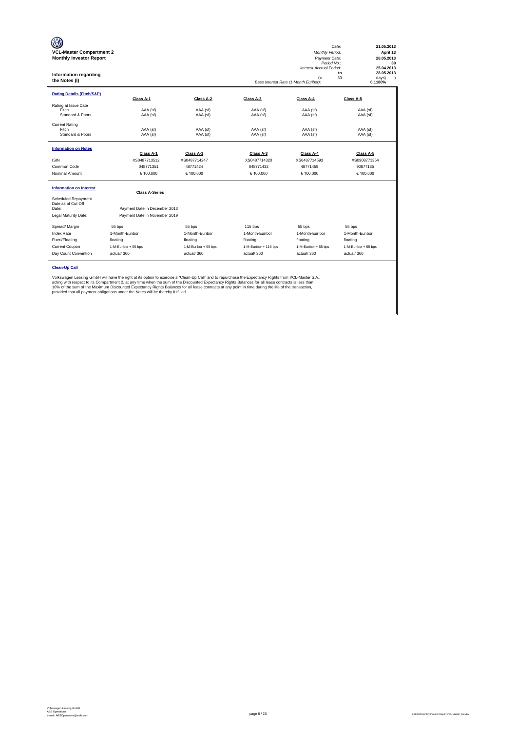| <b>VCL-Master Compartment 2</b><br><b>Monthly Investor Report</b><br>Information regarding<br>the Notes (I) |                                                                                                                                                                                                                                                                                                                                                                                                                                                                                                                                                           |                      |                       | <b>Monthly Period:</b><br>Payment Date:<br>Period No.:<br>Interest Accrual Period:<br>$(=$<br>Base Interest Rate (1-Month Euribor): | 21.05.2013<br>Date:<br>April 13<br>28.05.2013<br>39<br>25.04.2013<br>28.05.2013<br>to<br>33<br>davs)<br>$\lambda$<br>0,1180% |
|-------------------------------------------------------------------------------------------------------------|-----------------------------------------------------------------------------------------------------------------------------------------------------------------------------------------------------------------------------------------------------------------------------------------------------------------------------------------------------------------------------------------------------------------------------------------------------------------------------------------------------------------------------------------------------------|----------------------|-----------------------|-------------------------------------------------------------------------------------------------------------------------------------|------------------------------------------------------------------------------------------------------------------------------|
| <b>Rating Details (Fitch/S&amp;P)</b>                                                                       | Class A-1                                                                                                                                                                                                                                                                                                                                                                                                                                                                                                                                                 | Class A-2            | Class A-3             | Class A-4                                                                                                                           | Class A-5                                                                                                                    |
| Rating at Issue Date<br>Fitch<br>Standard & Poors                                                           | AAA (sf)<br>AAA (sf)                                                                                                                                                                                                                                                                                                                                                                                                                                                                                                                                      | AAA (sf)<br>AAA (sf) | AAA (sf)<br>AAA (sf)  | AAA (sf)<br>AAA (sf)                                                                                                                | AAA (sf)<br>AAA (sf)                                                                                                         |
| <b>Current Rating</b><br>Fitch<br>Standard & Poors                                                          | AAA (sf)<br>AAA (sf)                                                                                                                                                                                                                                                                                                                                                                                                                                                                                                                                      | AAA (sf)<br>AAA (sf) | AAA (sf)<br>AAA (sf)  | AAA (sf)<br>AAA (sf)                                                                                                                | AAA (sf)<br>AAA (sf)                                                                                                         |
| <b>Information on Notes</b>                                                                                 | Class A-1                                                                                                                                                                                                                                                                                                                                                                                                                                                                                                                                                 | Class A-1            | Class A-3             | Class A-4                                                                                                                           | Class A-5                                                                                                                    |
| <b>ISIN</b>                                                                                                 | XS0487713512                                                                                                                                                                                                                                                                                                                                                                                                                                                                                                                                              | XS0487714247         | XS0487714320          | XS0487714593                                                                                                                        | XS0908771354                                                                                                                 |
| Common Code                                                                                                 | 048771351                                                                                                                                                                                                                                                                                                                                                                                                                                                                                                                                                 | 48771424             | 048771432             | 48771459                                                                                                                            | 90877135                                                                                                                     |
| Nominal Amount                                                                                              | € 100.000                                                                                                                                                                                                                                                                                                                                                                                                                                                                                                                                                 | € 100,000            | € 100.000             | € 100,000                                                                                                                           | € 100.000                                                                                                                    |
| <b>Information on Interest</b>                                                                              | <b>Class A-Series</b>                                                                                                                                                                                                                                                                                                                                                                                                                                                                                                                                     |                      |                       |                                                                                                                                     |                                                                                                                              |
| Scheduled Repayment<br>Date as of Cut-Off<br>Date:<br>Legal Maturity Date:                                  | Payment Date in December 2013<br>Payment Date in November 2019                                                                                                                                                                                                                                                                                                                                                                                                                                                                                            |                      |                       |                                                                                                                                     |                                                                                                                              |
| Spread/ Margin                                                                                              | 55 bps                                                                                                                                                                                                                                                                                                                                                                                                                                                                                                                                                    | 55 bps               | 115 bps               | 55 bps                                                                                                                              | 55 bps                                                                                                                       |
| <b>Index Rate</b>                                                                                           | 1-Month-Euribor                                                                                                                                                                                                                                                                                                                                                                                                                                                                                                                                           | 1-Month-Euribor      | 1-Month-Euribor       | 1-Month-Euribor                                                                                                                     | 1-Month-Euribor                                                                                                              |
| Fixed/Floating                                                                                              | floating                                                                                                                                                                                                                                                                                                                                                                                                                                                                                                                                                  | floating             | floating              | floating                                                                                                                            | floating                                                                                                                     |
| Current Coupon                                                                                              | 1-M-Euribor + 55 bps                                                                                                                                                                                                                                                                                                                                                                                                                                                                                                                                      | 1-M-Euribor + 55 bps | 1-M-Euribor + 115 bps | 1-M-Euribor + 55 bps                                                                                                                | 1-M-Euribor + 55 bps                                                                                                         |
| Day Count Convention                                                                                        | actual/360                                                                                                                                                                                                                                                                                                                                                                                                                                                                                                                                                | actual/360           | actual/360            | actual/360                                                                                                                          | actual/360                                                                                                                   |
| <b>Clean-Up Call</b>                                                                                        | Volkswagen Leasing GmbH will have the right at its option to exercise a "Clean-Up Call" and to repurchase the Expectancy Rights from VCL-Master S.A.,<br>acting with respect to its Compartment 2, at any time when the sum of the Discounted Expectancy Rights Balances for all lease contracts is less than<br>10% of the sum of the Maximum Discounted Expectancy Rights Balances for all lease contracts at any point in time during the life of the transaction,<br>provided that all payment obligations under the Notes will be thereby fulfilled. |                      |                       |                                                                                                                                     |                                                                                                                              |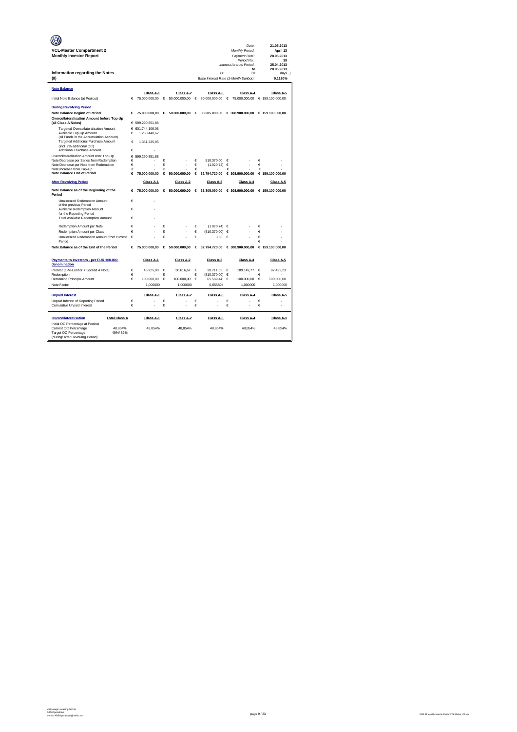|                                                                                    |        |                  |            |                          |        |                                       |        | Date:                                           |        | 21.05.2013       |
|------------------------------------------------------------------------------------|--------|------------------|------------|--------------------------|--------|---------------------------------------|--------|-------------------------------------------------|--------|------------------|
| <b>VCL-Master Compartment 2</b>                                                    |        |                  |            |                          |        |                                       |        | Monthly Period:                                 |        | April 13         |
| <b>Monthly Investor Report</b>                                                     |        |                  |            |                          |        |                                       |        | Payment Date:                                   |        | 28.05.2013       |
|                                                                                    |        |                  |            |                          |        |                                       |        | Period No.:<br>Interest Accrual Period:         |        | 39<br>25.04.2013 |
|                                                                                    |        |                  |            |                          |        |                                       |        | to                                              |        | 28.05.2013       |
| Information regarding the Notes                                                    |        |                  |            |                          |        | (                                     |        | 33                                              |        | days )           |
| (II)                                                                               |        |                  |            |                          |        | Base Interest Rate (1-Month Euribor): |        |                                                 |        | 0.1180%          |
| <b>Note Balance</b>                                                                |        |                  |            |                          |        |                                       |        |                                                 |        |                  |
|                                                                                    |        | Class A-1        |            | Class A-2                |        | Class A-3                             |        | Class A-4                                       |        | Class A-5        |
| Initial Note Balance (at Poolcut)                                                  | €      | 75.000.000,00    | $\epsilon$ | 50.000.000,00            | €      | 50.000.000,00                         | €      | 75.000.000,00                                   |        | € 159.100.000,00 |
| <b>During Revolving Period</b>                                                     |        |                  |            |                          |        |                                       |        |                                                 |        |                  |
| <b>Note Balance Beginn of Period</b>                                               | €      | 75,000,000,00    |            | $\epsilon$ 50,000,000,00 | €      |                                       |        | 33.305.090.00 € 308.900.000.00 € 159.100.000.00 |        |                  |
| Overcollateralisation Amount before Top-Up                                         |        |                  |            |                          |        |                                       |        |                                                 |        |                  |
| (all Class A Notes)                                                                |        | € 599.290.851,88 |            |                          |        |                                       |        |                                                 |        |                  |
| Targeted Overcollateralisation Amount                                              |        | € 601.744.106.08 |            |                          |        |                                       |        |                                                 |        |                  |
| Available Top-Up Amount                                                            | €      | 1.260.440.62     |            |                          |        |                                       |        |                                                 |        |                  |
| (all Funds in the Accumulation Account)<br>Targeted Additional Purchase Amount     | €      | 1.351.235.95     |            |                          |        |                                       |        |                                                 |        |                  |
| (incl. 7% additional OC)                                                           |        |                  |            |                          |        |                                       |        |                                                 |        |                  |
| Additional Purchase Amount                                                         | €      | ż                |            |                          |        |                                       |        |                                                 |        |                  |
| Overcollateralisation Amount after Top-Up                                          | €      | 599.290.851.88   |            |                          |        |                                       |        |                                                 |        |                  |
| Note Decrease per Series from Redemption<br>Note Decrease per Note from Redemption | €<br>€ |                  | €<br>€     |                          | €<br>€ | 510.370.00<br>(1.020, 74)             | €<br>€ |                                                 | €<br>€ |                  |
| Note Increase from Tap-Up                                                          | €      |                  | €          |                          | €      |                                       | €      |                                                 | €      |                  |
| <b>Note Balance End of Period</b>                                                  | €      | 75.000.000.00    | €          | 50,000,000.00            | €      | 32.794.720.00                         |        | € 308.900.000.00                                |        | € 159.100.000.00 |
| <b>After Revolving Period</b>                                                      |        | Class A-1        |            | Class A-2                |        | Class A-3                             |        | Class A-4                                       |        | Class A-5        |
|                                                                                    |        |                  |            |                          |        |                                       |        |                                                 |        |                  |
| Note Balance as of the Beginning of the<br>Period                                  | €      | 75.000.000,00    |            | 6.50.000.000,00          |        | 6.33.305.090,00                       |        | € 308.900.000,00                                |        | € 159.100.000,00 |
| Unallocated Redemption Amount                                                      | €      | ł.               |            |                          |        |                                       |        |                                                 |        |                  |
| of the previous Period<br>Available Redemption Amount                              | €      |                  |            |                          |        |                                       |        |                                                 |        |                  |
| for the Reporting Period                                                           |        |                  |            |                          |        |                                       |        |                                                 |        |                  |
| <b>Total Available Redemption Amount</b>                                           | €      |                  |            |                          |        |                                       |        |                                                 |        |                  |
| Redemotion Amount per Note                                                         | €      |                  | €          |                          | €      | $(1.020.74) \in$                      |        |                                                 | €      |                  |
| Redemption Amount per Class                                                        | €      |                  | €          |                          | €      | (510.370.00)                          | €      |                                                 | €      |                  |
| Unallocated Redemption Amount from current                                         | €      |                  | €          |                          | €      | 3.63                                  | €      |                                                 | €      |                  |
| Period                                                                             |        |                  |            |                          |        |                                       |        |                                                 | €      |                  |
| Note Balance as of the End of the Period                                           | €      | 75,000,000,00    | $\epsilon$ | 50,000,000,00            | €      |                                       |        | 32.794.720,00 € 308.900.000,00                  |        | € 159.100.000,00 |
| Payments to Investors - per EUR 100.000                                            |        | Class A-1        |            | Class A-2                |        | Class A-3                             |        | Class A-4                                       |        | Class A-5        |
| denomination                                                                       |        |                  |            |                          |        |                                       |        |                                                 |        |                  |
| Interest (1-M-Euribor + Spread A Note)<br>Redemption                               | €<br>€ | 45.925,00        | €<br>€     | 30.616,67                | €<br>€ | 38.711,62<br>(510.370,00)             | €<br>€ | 189.149,77                                      | €<br>€ | 97.422,23        |
| Remaining Principal Amount                                                         | €      | 100.000,00       | €          | 100.000,00               | €      | 65.589,44                             | €      | 100.000,00                                      | €      | 100.000,00       |
| Note Factor                                                                        |        | 1,000000         |            | 1,000000                 |        | 0,655894                              |        | 1,000000                                        |        | 1,000000         |
|                                                                                    |        |                  |            |                          |        |                                       |        |                                                 |        |                  |
| <b>Unpaid Interest</b>                                                             |        | Class A-1        |            | Class A-2                |        | Class A-3                             |        | Class A-4                                       |        | Class A-5        |
| Unpaid Interest of Reporting Period                                                | €      |                  | €          |                          | €      |                                       | €      |                                                 | €      |                  |
| Cumulative Unpaid Interest                                                         | €      |                  | €          |                          | €      |                                       | €      |                                                 | €      |                  |
| Overcollateralisation<br><b>Total Class A</b>                                      |        | Class A-1        |            | Class A-2                |        | Class A-3                             |        | Class A-4                                       |        | Class A-x        |
| Initial OC Percentage at Poolcut                                                   |        |                  |            |                          |        |                                       |        |                                                 |        |                  |
| Current OC Percentage<br>48.854%<br>Target OC Percentage<br>49%/52%                |        | 48.854%          |            | 48.854%                  |        | 48.854%                               |        | 48.854%                                         |        | 48.854%          |
| (during/ after Revolving Period)                                                   |        |                  |            |                          |        |                                       |        |                                                 |        |                  |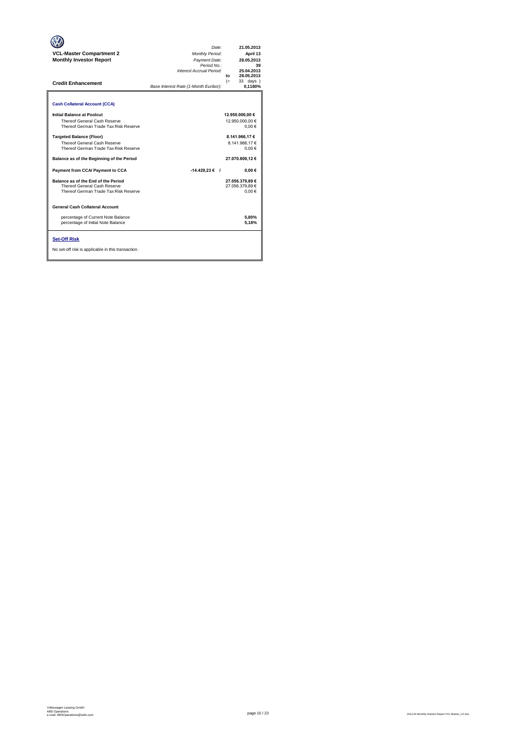| <b>VCL-Master Compartment 2</b><br><b>Monthly Investor Report</b><br><b>Credit Enhancement</b>                                                                                                                                                                                                                                                                                                                                                                                                                                                                                 | Date:<br>Monthly Period:<br>Payment Date:<br>Period No.:<br>Interest Accrual Period:<br>Base Interest Rate (1-Month Euribor): | 21.05.2013<br>April 13<br>28.05.2013<br>39<br>25.04.2013<br>28.05.2013<br>to<br>33 days )<br>$(=$<br>0,1180%                                                                                  |
|--------------------------------------------------------------------------------------------------------------------------------------------------------------------------------------------------------------------------------------------------------------------------------------------------------------------------------------------------------------------------------------------------------------------------------------------------------------------------------------------------------------------------------------------------------------------------------|-------------------------------------------------------------------------------------------------------------------------------|-----------------------------------------------------------------------------------------------------------------------------------------------------------------------------------------------|
| <b>Cash Collateral Account (CCA)</b><br>Initial Balance at Poolcut<br>Thereof General Cash Reserve<br>Thereof German Trade Tax Risk Reserve<br><b>Targeted Balance (Floor)</b><br>Thereof General Cash Reserve<br>Thereof German Trade Tax Risk Reserve<br>Balance as of the Beginning of the Period<br>Payment from CCA/ Payment to CCA<br>Balance as of the End of the Period<br>Thereof General Cash Reserve<br>Thereof German Trade Tax Risk Reserve<br><b>General Cash Collateral Account</b><br>percentage of Current Note Balance<br>percentage of Initial Note Balance | $-14.429.23 \in$ /                                                                                                            | 12.950.000,00 €<br>12.950.000.00 €<br>$0.00 \in$<br>8.141.966.17 €<br>8.141.966.17€<br>0.00€<br>27.070.809.12€<br>$0.00 \in$<br>27.056.379,89 €<br>27.056.379.89 €<br>0.00€<br>5.80%<br>5.18% |
| <b>Set-Off Risk</b><br>No set-off risk is applicable in this transaction.                                                                                                                                                                                                                                                                                                                                                                                                                                                                                                      |                                                                                                                               |                                                                                                                                                                                               |

**. . . .** Trigger Level 1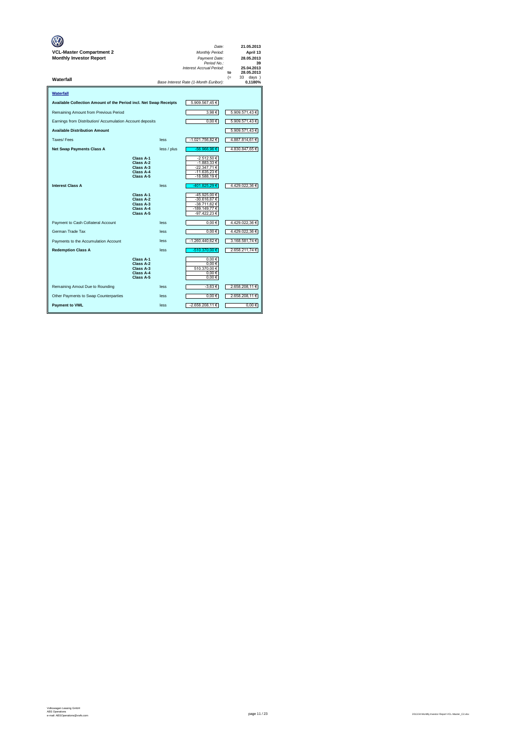| VCL-Master Compartment 2<br><b>Monthly Investor Report</b>        |                                                               |             | Date:<br>Monthly Period:<br>Payment Date:<br>Period No.:<br>Interest Accrual Period: | 21.05.2013<br>April 13<br>28.05.2013<br>39<br>25.04.2013<br>28.05.2013<br>to |
|-------------------------------------------------------------------|---------------------------------------------------------------|-------------|--------------------------------------------------------------------------------------|------------------------------------------------------------------------------|
| Waterfall                                                         |                                                               |             | Base Interest Rate (1-Month Euribor):                                                | $(=$<br>days )<br>33<br>0,1180%                                              |
| Waterfall                                                         |                                                               |             |                                                                                      |                                                                              |
| Available Collection Amount of the Period incl. Net Swap Receipts |                                                               |             | 5.909.567,45 €                                                                       |                                                                              |
| Remaining Amount from Previous Period                             |                                                               |             | 3,98€                                                                                | 5.909.571,43 €                                                               |
| Earnings from Distribution/ Accumulation Account deposits         |                                                               |             | $0,00 \in$                                                                           | 5.909.571,43 €                                                               |
| <b>Available Distribution Amount</b>                              |                                                               |             |                                                                                      | 5.909.571,43 €                                                               |
| Taxes/Fees                                                        |                                                               | less        | -1.021.756,82 €                                                                      | 4.887.814,61 €                                                               |
| <b>Net Swap Payments Class A</b>                                  |                                                               | less / plus | -56.966,96 €                                                                         | 4.830.847,65 €                                                               |
|                                                                   | Class A-1<br>Class A-2<br>Class A-3<br>Class A-4<br>Class A-5 |             | -2.512,50 €<br>-1.883,33 €<br>-22.347.71 €<br>-11.635,23 €<br>-18.588,19 €           |                                                                              |
| <b>Interest Class A</b>                                           |                                                               | less        | -401.825,29 €                                                                        | 4.429.022,36 €                                                               |
|                                                                   | Class A-1<br>Class A-2<br>Class A-3<br>Class A-4<br>Class A-5 |             | -45.925,00 €<br>-30.616,67 €<br>-38.711,62 €<br>-189.149,77€<br>-97.422,23 €         |                                                                              |
| Payment to Cash Collateral Account                                |                                                               | less        | $0.00 \in$                                                                           | 4.429.022,36 €                                                               |
| German Trade Tax                                                  |                                                               | less        | $0,00 \in$                                                                           | 4.429.022,36 €                                                               |
| Payments to the Accumulation Account                              |                                                               | less        | -1.260.440,62 €                                                                      | 3.168.581,74 €                                                               |
| <b>Redemption Class A</b>                                         |                                                               | less        | -510.370.00 €                                                                        | 2.658.211.74 €                                                               |
|                                                                   | Class A-1<br>Class A-2<br>Class A-3<br>Class A-4<br>Class A-5 |             | 0.00€<br>0.00€<br>510.370,00€<br>$0,00 \in$<br>$0,00 \in$                            |                                                                              |
| Remaining Amout Due to Rounding                                   |                                                               | less        | -3,63 €                                                                              | 2.658.208,11 €                                                               |
| Other Payments to Swap Counterparties                             |                                                               | less        | $0,00 \in$                                                                           | 2.658.208,11 €                                                               |
| <b>Payment to VWL</b>                                             |                                                               | less        | -2.658.208,11 €                                                                      | 0.00€                                                                        |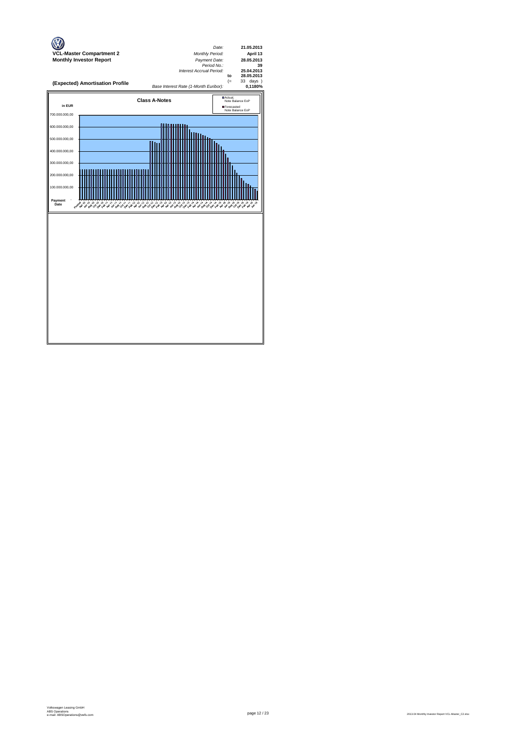

page 12 / 23 2013.04 Monthly Investor Report VCL-Master\_C2.xlsx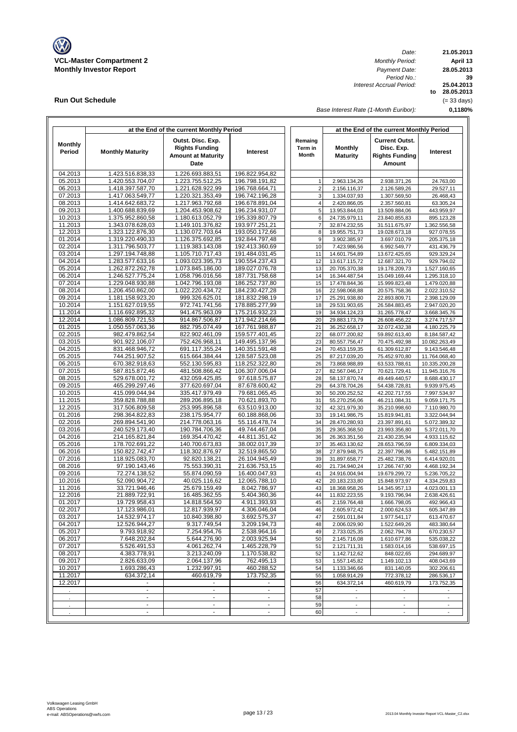

**Run Out Schedule**

*Date: Period No.: Interest Accrual Period:*

**21.05.2013 April 13 to 28.05.2013 25.04.2013 0,1180% 39 28.05.2013** (= 33 days)

*Base Interest Rate (1-Month Euribor):*

|                          |                                      | at the End of the current Monthly Period                                               |                                  |                             | at the End of the current Monthly Period |                                                                        |                              |
|--------------------------|--------------------------------------|----------------------------------------------------------------------------------------|----------------------------------|-----------------------------|------------------------------------------|------------------------------------------------------------------------|------------------------------|
| <b>Monthly</b><br>Period | <b>Monthly Maturity</b>              | Outst. Disc. Exp.<br><b>Rights Funding</b><br><b>Amount at Maturity</b><br><b>Date</b> | Interest                         | Remaing<br>Term in<br>Month | <b>Monthly</b><br><b>Maturity</b>        | <b>Current Outst.</b><br>Disc. Exp.<br><b>Rights Funding</b><br>Amount | Interest                     |
| 04.2013                  | 1.423.516.838,33                     | 1.226.693.883,51                                                                       | 196.822.954,82                   |                             |                                          |                                                                        |                              |
| 05.2013                  | 1.420.553.704,07                     | 1.223.755.512,25                                                                       | 196.798.191,82                   | $\overline{1}$              | 2.963.134,26                             | 2.938.371,26                                                           | 24.763,00                    |
| 06.2013                  | 1.418.397.587,70                     | 1.221.628.922,99                                                                       | 196.768.664,71                   | $\overline{2}$              | 2.156.116,37                             | 2.126.589,26                                                           | 29.527,11                    |
| 07.2013                  | 1.417.063.549.77                     | 1.220.321.353,49                                                                       | 196.742.196,28                   | 3                           | 1.334.037,93                             | 1.307.569,50                                                           | 26.468,43                    |
| 08.2013                  | 1.414.642.683,72                     | 1.217.963.792,68                                                                       | 196.678.891,04                   | $\overline{4}$              | 2.420.866,05                             | 2.357.560,81                                                           | 63.305,24                    |
| 09.2013                  | 1.400.688.839,69                     | 1.204.453.908,62                                                                       | 196.234.931,07                   | 5                           | 13.953.844,03                            | 13.509.884,06                                                          | 443.959,97                   |
| 10.2013<br>11.2013       | 1.375.952.860.58<br>1.343.078.628,03 | 1.180.613.052,79<br>1.149.101.376,82                                                   | 195.339.807,79<br>193.977.251,21 | 6<br>$\overline{7}$         | 24.735.979,11<br>32.874.232,55           | 23.840.855.83<br>31.511.675,97                                         | 895.123,28<br>1.362.556,58   |
| 12.2013                  | 1.323.122.876.30                     | 1.130.072.703,64                                                                       | 193.050.172.66                   | 8                           | 19.955.751,73                            | 19.028.673,18                                                          | 927.078,55                   |
| 01.2014                  | 1.319.220.490,33                     | 1.126.375.692,85                                                                       | 192.844.797,48                   | 9                           | 3.902.385,97                             | 3.697.010,79                                                           | 205.375,18                   |
| 02.2014                  | 1.311.796.503,77                     | 1.119.383.143,08                                                                       | 192.413.360,69                   | 10                          | 7.423.986,56                             | 6.992.549,77                                                           | 431.436,79                   |
| 03.2014                  | 1.297.194.748,88                     | 1.105.710.717,43                                                                       | 191.484.031,45                   | 11                          | 14.601.754,89                            | 13.672.425,65                                                          | 929.329,24                   |
| 04.2014                  | 1.283.577.633,16                     | 1.093.023.395,73                                                                       | 190.554.237,43                   | 12                          | 13.617.115,72                            | 12.687.321,70                                                          | 929.794,02                   |
| 05.2014                  | 1.262.872.262,78                     | 1.073.845.186,00                                                                       | 189.027.076,78                   | 13                          | 20.705.370,38                            | 19.178.209,73                                                          | 1.527.160,65                 |
| 06.2014                  | 1.246.527.775,24                     | 1.058.796.016,56                                                                       | 187.731.758,68                   | 14                          | 16.344.487,54                            | 15.049.169,44                                                          | 1.295.318,10                 |
| 07.2014                  | 1.229.048.930,88                     | 1.042.796.193,08                                                                       | 186.252.737,80                   | 15                          | 17.478.844,36                            | 15.999.823,48                                                          | 1.479.020,88                 |
| 08.2014                  | 1.206.450.862,00                     | 1.022.220.434,72                                                                       | 184.230.427,28                   | 16                          | 22.598.068,88                            | 20.575.758,36                                                          | 2.022.310.52                 |
| 09.2014                  | 1.181.158.923,20                     | 999.326.625,01                                                                         | 181.832.298,19                   | 17                          | 25.291.938,80                            | 22.893.809,71                                                          | 2.398.129,09                 |
| 10.2014<br>11.2014       | 1.151.627.019,55                     | 972.741.741.56                                                                         | 178.885.277,99                   | 18                          | 29.531.903,65                            | 26.584.883,45                                                          | 2.947.020,20                 |
| 12.2014                  | 1.116.692.895,32<br>1.086.809.721,53 | 941.475.963,09<br>914.867.506,87                                                       | 175.216.932,23<br>171.942.214,66 | 19<br>20                    | 34.934.124,23<br>29.883.173,79           | 31.265.778,47<br>26.608.456,22                                         | 3.668.345,76<br>3.274.717,57 |
| 01.2015                  | 1.050.557.063.36                     | 882.795.074,49                                                                         | 167.761.988,87                   | 21                          | 36.252.658,17                            | 32.072.432.38                                                          | 4.180.225,79                 |
| 02.2015                  | 982.479.862,54                       | 822.902.461,09                                                                         | 159.577.401,45                   | 22                          | 68.077.200,82                            | 59.892.613,40                                                          | 8.184.587,42                 |
| 03.2015                  | 901.922.106,07                       | 752.426.968,11                                                                         | 149.495.137,96                   | 23                          | 80.557.756,47                            | 70.475.492,98                                                          | 10.082.263,49                |
| 04.2015                  | 831.468.946,72                       | 691.117.355,24                                                                         | 140.351.591,48                   | 24                          | 70.453.159,35                            | 61.309.612,87                                                          | 9.143.546,48                 |
| 05.2015                  | 744.251.907,52                       | 615.664.384,44                                                                         | 128.587.523,08                   | 25                          | 87.217.039,20                            | 75.452.970,80                                                          | 11.764.068,40                |
| 06.2015                  | 670.382.918.63                       | 552.130.595,83                                                                         | 118.252.322,80                   | 26                          | 73.868.988,89                            | 63.533.788,61                                                          | 10.335.200,28                |
| 07.2015                  | 587.815.872,46                       | 481.508.866,42                                                                         | 106.307.006,04                   | 27                          | 82.567.046,17                            | 70.621.729,41                                                          | 11.945.316,76                |
| 08.2015                  | 529.678.001,72                       | 432.059.425,85                                                                         | 97.618.575,87                    | 28                          | 58.137.870,74                            | 49.449.440,57                                                          | 8.688.430,17                 |
| 09.2015                  | 465.299.297,46                       | 377.620.697,04                                                                         | 87.678.600,42                    | 29                          | 64.378.704,26                            | 54.438.728,81                                                          | 9.939.975,45                 |
| 10.2015                  | 415.099.044,94                       | 335.417.979,49                                                                         | 79.681.065,45                    | 30                          | 50.200.252,52                            | 42.202.717,55                                                          | 7.997.534,97                 |
| 11.2015<br>12.2015       | 359.828.788,88<br>317.506.809,58     | 289.206.895,18<br>253.995.896,58                                                       | 70.621.893,70<br>63.510.913,00   | 31<br>32                    | 55.270.256,06<br>42.321.979,30           | 46.211.084,31<br>35.210.998,60                                         | 9.059.171,75<br>7.110.980,70 |
| 01.2016                  | 298.364.822,83                       | 238.175.954,77                                                                         | 60.188.868,06                    | 33                          | 19.141.986,75                            | 15.819.941,81                                                          | 3.322.044,94                 |
| 02.2016                  | 269.894.541,90                       | 214.778.063,16                                                                         | 55.116.478,74                    | 34                          | 28.470.280,93                            | 23.397.891,61                                                          | 5.072.389,32                 |
| 03.2016                  | 240.529.173,40                       | 190.784.706,36                                                                         | 49.744.467,04                    | 35                          | 29.365.368,50                            | 23.993.356,80                                                          | 5.372.011,70                 |
| 04.2016                  | 214.165.821,84                       | 169.354.470,42                                                                         | 44.811.351,42                    | 36                          | 26.363.351,56                            | 21.430.235,94                                                          | 4.933.115,62                 |
| 05.2016                  | 178.702.691,22                       | 140.700.673,83                                                                         | 38.002.017,39                    | 37                          | 35.463.130,62                            | 28.653.796,59                                                          | 6.809.334,03                 |
| 06.2016                  | 150.822.742.47                       | 118.302.876,97                                                                         | 32.519.865,50                    | 38                          | 27.879.948,75                            | 22.397.796,86                                                          | 5.482.151,89                 |
| 07.2016                  | 118.925.083,70                       | 92.820.138,21                                                                          | 26.104.945,49                    | 39                          | 31.897.658,77                            | 25.482.738,76                                                          | 6.414.920,01                 |
| 08.2016                  | 97.190.143,46                        | 75.553.390,31                                                                          | 21.636.753,15                    | 40                          | 21.734.940,24                            | 17.266.747,90                                                          | 4.468.192,34                 |
| 09.2016                  | 72.274.138,52                        | 55.874.090,59                                                                          | 16.400.047,93                    | 41                          | 24.916.004,94                            | 19.679.299,72                                                          | 5.236.705,22                 |
| 10.2016                  | 52.090.904,72                        | 40.025.116,62                                                                          | 12.065.788,10                    | 42                          | 20.183.233,80                            | 15.848.973,97                                                          | 4.334.259,83                 |
| 11.2016                  | 33.721.946,46                        | 25.679.159,49                                                                          | 8.042.786,97<br>5.404.360,36     | 43                          | 18.368.958,26                            | 14.345.957,13                                                          | 4.023.001,13                 |
| 12.2016<br>01.2017       | 21.889.722,91<br>19.729.958,43       | 16.485.362,55<br>14.818.564,50                                                         | 4.911.393,93                     | 44<br>45                    | 11.832.223,55<br>2.159.764,48            | 9.193.796,94<br>1.666.798,05                                           | 2.638.426,61<br>492.966,43   |
| 02.2017                  | 17.123.986,01                        | 12.817.939,97                                                                          | 4.306.046,04                     | 46                          | 2.605.972,42                             | 2.000.624,53                                                           | 605.347.89                   |
| 03.2017                  | 14.532.974,17                        | 10.840.398,80                                                                          | 3.692.575,37                     | 47                          | 2.591.011,84                             | 1.977.541,17                                                           | 613.470,67                   |
| 04.2017                  | 12.526.944,27                        | 9.317.749,54                                                                           | 3.209.194.73                     | 48                          | 2.006.029,90                             | 1.522.649,26                                                           | 483.380,64                   |
| 05.2017                  | 9.793.918,92                         | 7.254.954,76                                                                           | 2.538.964,16                     | 49                          | 2.733.025,35                             | 2.062.794,78                                                           | 670.230,57                   |
| 06.2017                  | 7.648.202,84                         | 5.644.276,90                                                                           | 2.003.925,94                     | 50                          | 2.145.716,08                             | 1.610.677,86                                                           | 535.038,22                   |
| 07.2017                  | 5.526.491,53                         | 4.061.262,74                                                                           | 1.465.228,79                     | 51                          | 2.121.711,31                             | 1.583.014,16                                                           | 538.697,15                   |
| 08.2017                  | 4.383.778,91                         | 3.213.240,09                                                                           | 1.170.538,82                     | 52                          | 1.142.712,62                             | 848.022,65                                                             | 294.689,97                   |
| 09.2017                  | 2.826.633,09                         | 2.064.137,96                                                                           | 762.495,13                       | 53                          | 1.557.145,82                             | 1.149.102,13                                                           | 408.043,69                   |
| 10.2017                  | 1.693.286,43                         | 1.232.997,91                                                                           | 460.288,52                       | 54                          | 1.133.346,66                             | 831.140,05                                                             | 302.206,61                   |
| 11.2017                  | 634.372,14                           | 460.619,79                                                                             | 173.752,35                       | 55                          | 1.058.914,29                             | 772.378,12                                                             | 286.536,17                   |
| 12.2017                  | $\blacksquare$                       | $\blacksquare$                                                                         | $\blacksquare$                   | 56<br>57                    | 634.372,14                               | 460.619,79                                                             | 173.752,35                   |
|                          | $\sim$                               | $\mathcal{L}$                                                                          | $\omega$                         | 58                          | $\mathbb{Z}^{\mathbb{Z}}$                | $\blacksquare$                                                         |                              |
|                          | $\blacksquare$                       | $\blacksquare$                                                                         | $\overline{\phantom{a}}$         | 59                          | $\overline{\phantom{a}}$                 | $\overline{\phantom{a}}$                                               |                              |
|                          | $\blacksquare$                       | $\blacksquare$                                                                         | $\blacksquare$                   | 60                          | $\mathbb{L}$                             | $\overline{\phantom{a}}$                                               | $\blacksquare$               |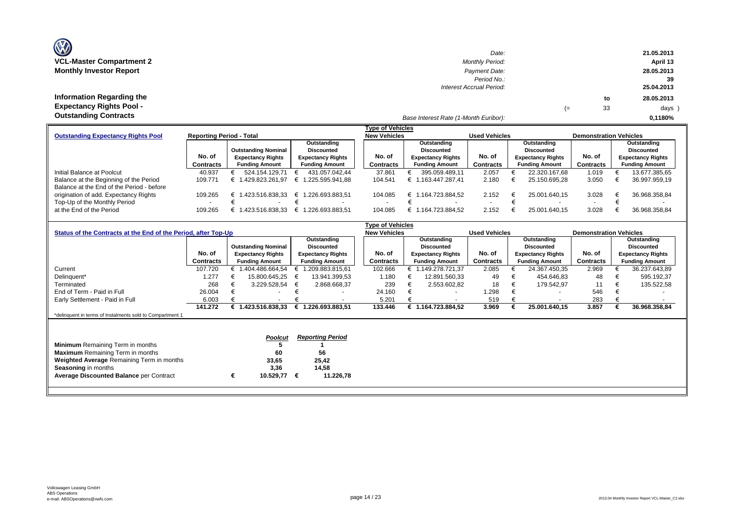| <b>OZ</b>                       |
|---------------------------------|
| <b>VCL-Master Compartment 2</b> |
| <b>Monthly Investor Report</b>  |

**Information Regarding the Expectancy Rights Pool -** 

| $\mathbf{w}$                     | Date:                    |    |    | 21.05.2013 |
|----------------------------------|--------------------------|----|----|------------|
| <b>VCL-Master Compartment 2</b>  | <b>Monthly Period:</b>   |    |    | April 13   |
| <b>Monthly Investor Report</b>   | Payment Date:            |    |    | 28.05.2013 |
|                                  | Period No.:              |    |    | 39         |
|                                  | Interest Accrual Period: |    |    | 25.04.2013 |
| <b>Information Regarding the</b> |                          |    | to | 28.05.2013 |
| <b>Expectancy Rights Pool -</b>  |                          | (≔ | 33 | days )     |
| Outotonding Contracto            |                          |    |    |            |

# *Base Interest Rate (1-Month Euribor):* **Outstanding Contracts 0,1180%**

|                                           |                                 |                            |                          | <b>Type of Vehicles</b> |                          |                          |   |                          |                               |  |                          |  |
|-------------------------------------------|---------------------------------|----------------------------|--------------------------|-------------------------|--------------------------|--------------------------|---|--------------------------|-------------------------------|--|--------------------------|--|
| <b>Outstanding Expectancy Rights Pool</b> | <b>Reporting Period - Total</b> |                            |                          | <b>New Vehicles</b>     |                          | <b>Used Vehicles</b>     |   |                          | <b>Demonstration Vehicles</b> |  |                          |  |
|                                           |                                 |                            | Outstanding              |                         | Outstanding              |                          |   | Outstanding              |                               |  | Outstanding              |  |
|                                           |                                 | <b>Outstanding Nominal</b> | <b>Discounted</b>        |                         | <b>Discounted</b>        |                          |   | <b>Discounted</b>        |                               |  | <b>Discounted</b>        |  |
|                                           | No. of                          | <b>Expectancy Rights</b>   | <b>Expectancy Rights</b> | No. of                  | <b>Expectancy Rights</b> | No. of                   |   | <b>Expectancy Rights</b> | No. of                        |  | <b>Expectancy Rights</b> |  |
|                                           | Contracts                       | <b>Funding Amount</b>      | <b>Funding Amount</b>    | Contracts               | <b>Funding Amount</b>    | <b>Contracts</b>         |   | <b>Funding Amount</b>    | Contracts                     |  | <b>Funding Amount</b>    |  |
| Initial Balance at Poolcut                | 40.937                          | 524.154.129.71             | 431.057.042.44           | 37.861                  | 395.059.489.11           | 2.057                    |   | 22.320.167.68            | 1.019                         |  | 13.677.385,65            |  |
| Balance at the Beginning of the Period    | 109.771                         | 429.823.261.97             | .225.595.941.88<br>€ 1   | 104.541                 | € 1.163.447.287.41       | 2.180                    |   | 25.150.695.28            | 3.050                         |  | 36.997.959,19            |  |
| Balance at the End of the Period - before |                                 |                            |                          |                         |                          |                          |   |                          |                               |  |                          |  |
| origination of add. Expectancy Rights     | 109.265                         | 1.423.516.838.33           | 1.226.693.883,51<br>€ 1  | 104.085                 | € 1.164.723.884.52       | 2.152                    | € | 25.001.640.15            | 3.028                         |  | 36.968.358.84            |  |
| Top-Up of the Monthly Period              |                                 | $\overline{\phantom{a}}$   |                          |                         | $\overline{\phantom{a}}$ | $\overline{\phantom{a}}$ |   |                          |                               |  |                          |  |
| at the End of the Period                  | 109.265                         | .423.516.838.33            | .226.693.883.51          | 104.085                 | € 1.164.723.884.52       | 2.152                    |   | 25.001.640.15            | 3.028                         |  | 36.968.358.84            |  |
|                                           |                                 |                            |                          |                         |                          |                          |   |                          |                               |  |                          |  |

|                                                                |           |   |                            |   |                          | <b>Type of Vehicles</b> |                          |                      |                          |                               |                          |
|----------------------------------------------------------------|-----------|---|----------------------------|---|--------------------------|-------------------------|--------------------------|----------------------|--------------------------|-------------------------------|--------------------------|
| Status of the Contracts at the End of the Period, after Top-Up |           |   |                            |   |                          | <b>New Vehicles</b>     |                          | <b>Used Vehicles</b> |                          | <b>Demonstration Vehicles</b> |                          |
|                                                                |           |   |                            |   | Outstanding              |                         | Outstanding              |                      | Outstanding              |                               | Outstanding              |
|                                                                |           |   | <b>Outstanding Nominal</b> |   | <b>Discounted</b>        |                         | <b>Discounted</b>        |                      | <b>Discounted</b>        |                               | <b>Discounted</b>        |
|                                                                | No. of    |   | <b>Expectancy Rights</b>   |   | <b>Expectancy Rights</b> | No. of                  | <b>Expectancy Rights</b> | No. of               | <b>Expectancy Rights</b> | No. of                        | <b>Expectancy Rights</b> |
|                                                                | Contracts |   | <b>Funding Amount</b>      |   | <b>Funding Amount</b>    | Contracts               | <b>Funding Amount</b>    | <b>Contracts</b>     | <b>Funding Amount</b>    | Contracts                     | <b>Funding Amount</b>    |
| Current                                                        | 107.720   |   | 1.404.486.664,54           |   | 1.209.883.815,61         | 102.666                 | 1.149.278.721,37         | 2.085                | 24.367.450,35            | 2.969                         | 36.237.643,89            |
| Delinquent*                                                    | .277      |   | 15.800.645,25              |   | 13.941.399,53            | 1.180                   | 12.891.560,33            | 49                   | 454.646,83               | 48                            | 595.192,37               |
| Terminated                                                     | 268       |   | 3.229.528,54               | € | 2.868.668,37             | 239                     | 2.553.602,82             | 18                   | 179.542,97               | 11                            | 135.522,58               |
| End of Term - Paid in Full                                     | 26.004    |   | $\overline{\phantom{0}}$   |   |                          | 24.160                  |                          | .298                 | $\overline{\phantom{0}}$ | 546                           |                          |
| Early Settlement - Paid in Full                                | 6.003     |   | $\overline{\phantom{0}}$   |   |                          | 5.201                   | $\overline{\phantom{a}}$ | 519                  | $\sim$                   | 283                           |                          |
|                                                                | 141.272   |   | 1.423.516.838,33           | € | 1.226.693.883,51         | 133.446                 | 1.164.723.884,52         | 3.969                | 25.001.640,15            | 3.857                         | 36.968.358,84            |
| *delinquent in terms of Instalments sold to Compartment 1      |           |   |                            |   |                          |                         |                          |                      |                          |                               |                          |
|                                                                |           |   |                            |   |                          |                         |                          |                      |                          |                               |                          |
|                                                                |           |   |                            |   |                          |                         |                          |                      |                          |                               |                          |
|                                                                |           |   | <b>Poolcut</b>             |   | <b>Reporting Period</b>  |                         |                          |                      |                          |                               |                          |
| <b>Minimum</b> Remaining Term in months                        |           |   |                            |   |                          |                         |                          |                      |                          |                               |                          |
| <b>Maximum</b> Remaining Term in months                        |           |   | 60                         |   | 56                       |                         |                          |                      |                          |                               |                          |
| Weighted Average Remaining Term in months                      |           |   | 33,65                      |   | 25,42                    |                         |                          |                      |                          |                               |                          |
| <b>Seasoning in months</b>                                     |           |   | 3,36                       |   | 14,58                    |                         |                          |                      |                          |                               |                          |
| <b>Average Discounted Balance per Contract</b>                 |           | € | 10.529,77                  | € | 11.226,78                |                         |                          |                      |                          |                               |                          |
|                                                                |           |   |                            |   |                          |                         |                          |                      |                          |                               |                          |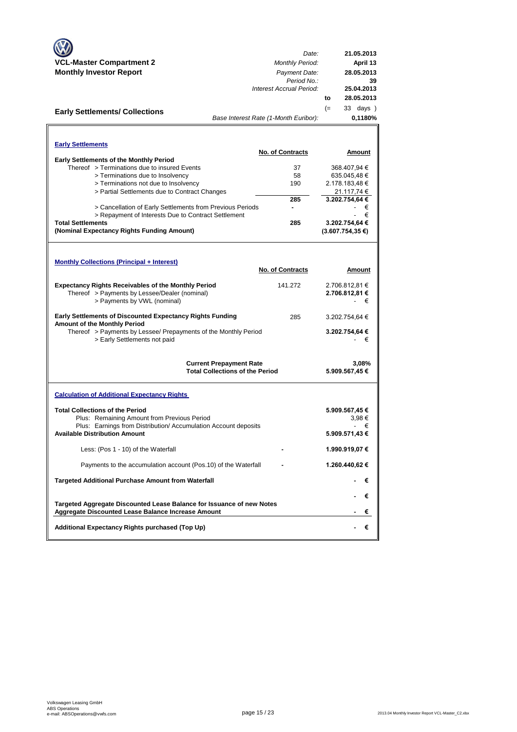|                                                                                                                                    | Date:                                  |      | 21.05.2013          |
|------------------------------------------------------------------------------------------------------------------------------------|----------------------------------------|------|---------------------|
| <b>VCL-Master Compartment 2</b>                                                                                                    | <b>Monthly Period:</b>                 |      | April 13            |
| <b>Monthly Investor Report</b>                                                                                                     | Payment Date:<br>Period No.:           |      | 28.05.2013<br>39    |
|                                                                                                                                    | Interest Accrual Period:               |      | 25.04.2013          |
|                                                                                                                                    |                                        | to   | 28.05.2013          |
| <b>Early Settlements/ Collections</b>                                                                                              |                                        | $(=$ | $33 \text{ days}$ ) |
|                                                                                                                                    | Base Interest Rate (1-Month Euribor):  |      | 0,1180%             |
|                                                                                                                                    |                                        |      |                     |
| <b>Early Settlements</b>                                                                                                           |                                        |      |                     |
|                                                                                                                                    | No. of Contracts                       |      | Amount              |
| <b>Early Settlements of the Monthly Period</b><br>Thereof > Terminations due to insured Events                                     | 37                                     |      | 368.407,94 €        |
| > Terminations due to Insolvency                                                                                                   | 58                                     |      | 635.045,48€         |
| > Terminations not due to Insolvency                                                                                               | 190                                    |      | 2.178.183,48€       |
| > Partial Settlements due to Contract Changes                                                                                      |                                        |      | 21.117,74 €         |
|                                                                                                                                    | 285                                    |      | 3.202.754,64 €      |
| > Cancellation of Early Settlements from Previous Periods                                                                          | ۰                                      |      | €                   |
| > Repayment of Interests Due to Contract Settlement                                                                                |                                        |      | €                   |
| <b>Total Settlements</b>                                                                                                           | 285                                    |      | 3.202.754.64 €      |
| (Nominal Expectancy Rights Funding Amount)                                                                                         |                                        |      | $(3.607.754.35)$ €) |
|                                                                                                                                    |                                        |      |                     |
|                                                                                                                                    |                                        |      |                     |
| <b>Monthly Collections (Principal + Interest)</b>                                                                                  | <b>No. of Contracts</b>                |      | Amount              |
|                                                                                                                                    |                                        |      |                     |
| <b>Expectancy Rights Receivables of the Monthly Period</b>                                                                         | 141.272                                |      | 2.706.812,81 €      |
| Thereof > Payments by Lessee/Dealer (nominal)                                                                                      |                                        |      | 2.706.812,81 €      |
| > Payments by VWL (nominal)                                                                                                        |                                        |      | €                   |
| <b>Early Settlements of Discounted Expectancy Rights Funding</b><br><b>Amount of the Monthly Period</b>                            | 285                                    |      | 3.202.754,64 €      |
| Thereof > Payments by Lessee/ Prepayments of the Monthly Period                                                                    |                                        |      | 3.202.754,64 €      |
| > Early Settlements not paid                                                                                                       |                                        |      | €                   |
|                                                                                                                                    |                                        |      |                     |
|                                                                                                                                    | <b>Current Prepayment Rate</b>         |      | 3,08%               |
|                                                                                                                                    | <b>Total Collections of the Period</b> |      | 5.909.567,45 €      |
| <b>Calculation of Additional Expectancy Rights</b>                                                                                 |                                        |      |                     |
|                                                                                                                                    |                                        |      |                     |
| <b>Total Collections of the Period</b>                                                                                             |                                        |      | 5.909.567,45€       |
| Plus: Remaining Amount from Previous Period                                                                                        |                                        |      | 3,98€               |
| Plus: Earnings from Distribution/Accumulation Account deposits<br><b>Available Distribution Amount</b>                             |                                        |      | €<br>5.909.571,43 € |
| Less: (Pos 1 - 10) of the Waterfall                                                                                                |                                        |      | 1.990.919,07 €      |
| Payments to the accumulation account (Pos.10) of the Waterfall                                                                     |                                        |      | 1.260.440,62 €      |
| <b>Targeted Additional Purchase Amount from Waterfall</b>                                                                          |                                        |      | €                   |
|                                                                                                                                    |                                        |      | €                   |
| Targeted Aggregate Discounted Lease Balance for Issuance of new Notes<br><b>Aggregate Discounted Lease Balance Increase Amount</b> |                                        |      | €                   |
| Additional Expectancy Rights purchased (Top Up)                                                                                    |                                        |      | €                   |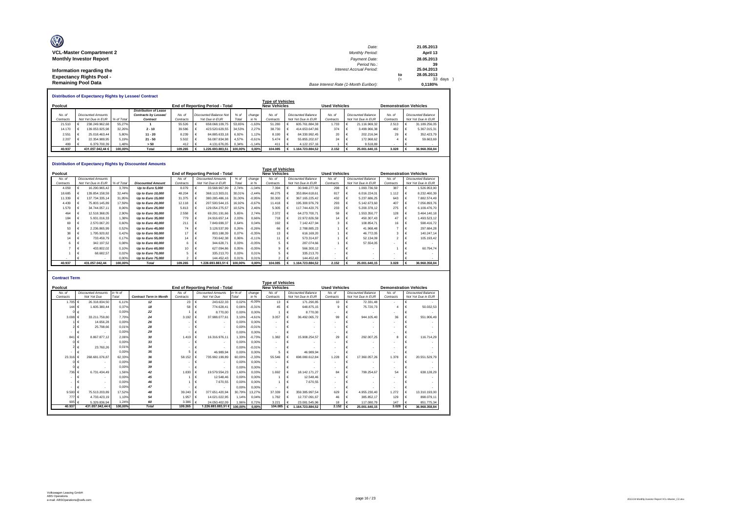| O                               | Date:                                 |      | 21.05.2013 |
|---------------------------------|---------------------------------------|------|------------|
| <b>VCL-Master Compartment 2</b> | <b>Monthly Period:</b>                |      | April 13   |
| <b>Monthly Investor Report</b>  | Payment Date:                         |      | 28.05.2013 |
|                                 | Period No.:                           |      | 39         |
| Information regarding the       | <b>Interest Accrual Period:</b>       |      | 25.04.2013 |
| <b>Expectancy Rights Pool -</b> |                                       | to   | 28.05.2013 |
|                                 |                                       | $(=$ | 33 days    |
| <b>Remaining Pool Data</b>      | Base Interest Rate (1-Month Euribor): |      | 0.1180%    |

|                                                                                                  |  |                           |            | <b>Distribution of Expectancy Rights by Lessee/ Contract</b> |           |  |                        |         |          |                         |                               |           |                           |           |  |                           |
|--------------------------------------------------------------------------------------------------|--|---------------------------|------------|--------------------------------------------------------------|-----------|--|------------------------|---------|----------|-------------------------|-------------------------------|-----------|---------------------------|-----------|--|---------------------------|
|                                                                                                  |  |                           |            |                                                              |           |  |                        |         |          | <b>Type of Vehicles</b> |                               |           |                           |           |  |                           |
| <b>Used Vehicles</b><br>Poolcut<br><b>End of Reporting Period - Total</b><br><b>New Vehicles</b> |  |                           |            |                                                              |           |  |                        |         |          |                         | <b>Demonstration Vehicles</b> |           |                           |           |  |                           |
|                                                                                                  |  |                           |            | <b>Distribution of Lease</b>                                 |           |  |                        |         |          |                         |                               |           |                           |           |  |                           |
| No. of                                                                                           |  | <b>Discounted Amounts</b> |            | Contracts by Lessee/                                         | No. a     |  | Discounted Balance Not | % of    | change   | No. of                  | Discounted Balance            | No. of    | <b>Discounted Balance</b> | No. of    |  | <b>Discounted Balance</b> |
| Contracts                                                                                        |  | Not Yet Due in EUR        | % of Total | Contract                                                     | Contracts |  | Yet Due in EUR         | Total   | in %     | Contracts               | Not Yet Due in EUR            | Contracts | Not Yet Due in EUR        | Contracts |  | Not Yet Due in EUR        |
| 21.510                                                                                           |  | 238.249.962.68            | 55.27%     |                                                              | 55.526    |  | 658.068.109.75         | 53.65%  | $-1.63%$ | 51.280                  | 605.761.884.38                | 1.733     | 21.116.969.32             | 2.513     |  | 31.189.256.05             |
| 14.170                                                                                           |  | 139.053.925.98            | 32.26%     | $2 - 10$                                                     | 39.586    |  | 423.520.629.55         | 34.53%  | 2.27%    | 38.730                  | 414.653.647.86                | 374       | 3.499.966.38              | 482       |  | 5.367.015.31              |
| 2.551                                                                                            |  | 25.018.463.44             | 5.80%      | $11 - 20$                                                    | 8.239     |  | 84.885.633.18          | 6.92%   | 1.12%    | 8.190                   | 84.330.992.45                 | 20        | 202.216.94                | 29        |  | 352.423.79                |
| 2.207                                                                                            |  | 22.354.989.95             | 5.19%      | $21 - 50$                                                    | 5.502     |  | 56.087.834.98          | 4.57%   | $-0.61%$ | 5.474                   | 55.855.202.67                 | 24        | 172.968.62                |           |  | 59,663.69                 |
| 499                                                                                              |  | 6.379.700.39              | .48%       | > 50                                                         | 412       |  | 4.131.676.05           | 0.34%   | $-1.14%$ | 411                     | 4.122.157.16                  |           | 9.518.89                  |           |  |                           |
| 40.937                                                                                           |  | 431.057.042.44 €          | 100.00%    | Total                                                        | 109.265   |  | .226.693.883.51        | 100.00% | 0.00%    | 104.085                 | 164.723.884.52                | 2.152     | 25.001.640.15             | 3.028     |  | 36,968,358,84             |

#### **Distribution of Expectancy Rights by Discounted Amounts**

|           | PRIIMANNII VI LADUUGIIUV INMIIIG DY PROUGHUU ANIUMING<br><b>Type of Vehicles</b> |                           |            |                          |           |  |                                 |         |          |                     |                           |                    |                      |                               |                    |                |   |                           |  |
|-----------|----------------------------------------------------------------------------------|---------------------------|------------|--------------------------|-----------|--|---------------------------------|---------|----------|---------------------|---------------------------|--------------------|----------------------|-------------------------------|--------------------|----------------|---|---------------------------|--|
| Poolcut   |                                                                                  |                           |            |                          |           |  | End of Reporting Period - Total |         |          | <b>New Vehicles</b> |                           |                    | <b>Used Vehicles</b> | <b>Demonstration Vehicles</b> |                    |                |   |                           |  |
| No. of    |                                                                                  | <b>Discounted Amounts</b> |            |                          | No. of    |  | <b>Discounted Amounts</b>       | % of    | change   | No. of              | <b>Discounted Balance</b> |                    | No. of               | <b>Discounted Balance</b>     |                    | No. of         |   | <b>Discounted Balance</b> |  |
| Contracts |                                                                                  | Not Yet Due in EUR        | % of Total | <b>Discounted Amount</b> | Contracts |  | Not Yet Due in EUR              | Total   | in %     | Contracts           |                           | Not Yet Due in EUR | Contracts            |                               | Not Yet Due in EUR | Contracts      |   | Not Yet Due in EUR        |  |
| 4.059     |                                                                                  | 16.290.965.42             | 3.78%      | Up to Euro 5,000         | 8.079     |  | 33.568.967.99                   | 2.74%   | $-1.04%$ | 7.394               |                           | 30.948.277.50      | 298                  |                               | 1.093.736.59       | 387            |   | 1.526.953.90              |  |
| 18,685    |                                                                                  | 139.854.158.59            | 32.44%     | Up to Euro 10,000        | 48.204    |  | 368.113.303.01                  | 30.01%  | $-2.44%$ | 46.275              |                           | 353.864.618.61     | 817                  |                               | 6.016.224.01       | 1.112          |   | 8.232.460.39              |  |
| 11.339    |                                                                                  | 137.734.335.14            | 31.95%     | Up to Euro 15,000        | 31,375    |  | 380.285.486.16                  | 31.00%  | $-0.95%$ | 30.300              |                           | 367.165.225.42     | 432                  |                               | 5.237.686.25       | 643            | € | 7.882.574.49              |  |
| 4.439     |                                                                                  | 75.803.145.89             | 17.59%     | Up to Euro 20,000        | 12.118    |  | 207.500.544.15                  | 16.92%  | $-0.67%$ | 11.418              |                           | 195.300.976.79     | 293                  |                               | 5.142.673.60       | 407            |   | 7.056.893.76              |  |
| 1.579     |                                                                                  | 34.744.057.11             | 8.06%      | Up to Euro 25,000        | 5.813     |  | 129.054.275.57                  | 10.52%  | 2.46%    | 5.305               |                           | 117.744.420.75     | 233                  |                               | 5.200.378.12       | 275            |   | 6.109.476.70              |  |
| 464       |                                                                                  | 12.518.368.05             | 2,90%      | Up to Euro 30,000        | 2.558     |  | 69.291.191.66                   | 5.65%   | 2.74%    | 2.372               |                           | 64.273.700.71      | 58                   |                               | 1.553.350.77       | 128            |   | 3.464.140.18              |  |
| 184       |                                                                                  | 5.931.016.33              | 1.38%      | Up to Euro 35,000        | 779       |  | 24.916.657.14                   | 2.03%   | 0.66%    | 718                 |                           | 22.972.826.59      | 14                   |                               | 450.307.43         | 47             |   | 1.493.523.12              |  |
| 69        |                                                                                  | 2.570.067.20              | 0.60%      | Up to Euro 40,000        | 211       |  | 7.849.699.37                    | 0.64%   | 0.04%    | 192                 |                           | 7.142.427.94       |                      |                               | 108.854.71         | 16             |   | 598.416.72                |  |
| 53        |                                                                                  | 2.236.865.99              | 0.52%      | Up to Euro 45,000        | 74        |  | 3.128.537.99                    | 0.26%   | $-0.26%$ | 66                  |                           | 2.788.885.23       |                      |                               | 41.968.48          |                |   | 297.684.28                |  |
| 38        |                                                                                  | 1.795.920.82              | 0.42%      | Up to Euro 50,000        | 17        |  | 803.188.39                      | 0.07%   | $-0.35%$ | 13                  |                           | 616.169.20         |                      |                               | 46.772.05          | 3              |   | 140.247.14                |  |
| 14        |                                                                                  | 733.459.79                | 0.17%      | Up to Euro 55,000        | 14        |  | 730.642.38                      | 0.06%   | $-0.11%$ | 11                  |                           | 573.314.87         |                      |                               | 52.134.09          | $\mathfrak{p}$ |   | 105.193.42                |  |
|           |                                                                                  | 342.197.52                | 0.08%      | Up to Euro 60,000        | 6         |  | 344.628.71                      | 0.03%   | $-0.05%$ |                     |                           | 287.074.66         |                      |                               | 57.554.05          |                |   |                           |  |
|           |                                                                                  | 433,802.02                | 0.10%      | Up to Euro 65,000        | 10        |  | 627.094.86                      | 0.05%   | $-0.05%$ |                     |                           | 566.300.12         |                      |                               |                    |                |   | 60.794.74                 |  |
|           |                                                                                  | 68.682.57                 | 0.02%      | Up to Euro 70,000        |           |  | 335.213.70                      | 0.03%   | 0.01%    |                     |                           | 335.213.70         |                      |                               |                    |                |   |                           |  |
|           |                                                                                  |                           | 0.00%      | Up to Euro 75,000        |           |  | 144.452.43                      | 0.01%   | 0.01%    |                     |                           | 144.452.43         |                      |                               |                    |                |   |                           |  |
| 40.937    |                                                                                  | 431.057.042.44            | 100.00%    | <b>Total</b>             | 109.265   |  | 1.226.693.883.51 €              | 100,00% | 0.00%    | 104.085             |                           | 1.164.723.884.52   | 2.152                |                               | 25.001.640.15      | 3.028          |   | 36.968.358.84             |  |

| <b>Contract Term</b> |                           |         |                               |           |                                 |         |          |                         |                             |                          |                           |           |                               |  |
|----------------------|---------------------------|---------|-------------------------------|-----------|---------------------------------|---------|----------|-------------------------|-----------------------------|--------------------------|---------------------------|-----------|-------------------------------|--|
|                      |                           |         |                               |           |                                 |         |          | <b>Type of Vehicles</b> |                             |                          |                           |           |                               |  |
| Poolcut              |                           |         |                               |           | End of Reporting Period - Total |         |          | <b>New Vehicles</b>     |                             | <b>Used Vehicles</b>     |                           |           | <b>Demonstration Vehicles</b> |  |
| No. of               | <b>Discounted Amounts</b> | in % of |                               | No. of    | <b>Discounted Amounts</b>       | in % of | change   | No. of                  | <b>Discounted Balance</b>   | No. of                   | <b>Discounted Balance</b> | No. of    | <b>Discounted Balance</b>     |  |
| Contracts            | Not Yet Due               | Total   | <b>Contract Term in Month</b> | Contracts | Not Yet Due                     | Total   | in %     | Contracts               | Not Yet Due in EUR          | Contracts                | Not Yet Due in EUR        | Contracts | Not Yet Due in EUR            |  |
| 1.705                | 26.318.834.50             | 6.11%   | 12                            | 23        | 243.622.33<br>€                 | 0.02%   | $-6.09%$ | 13                      | 171.290.85                  | 10                       | €<br>72.331.48            | $\sim$    | €                             |  |
| 144                  | 1.605.380.44              | 0.37%   | 18                            | 58        | 774,628.41                      | 0.06%   | $-0.31%$ | 45                      | 648.875.15                  | $\mathbf{Q}$             | 75.720,73                 |           | 50.032.53                     |  |
|                      |                           | 0.00%   | 22                            |           | 8,770.00                        | 0.00%   | 0.00%    |                         | 8,770.00                    |                          | €                         |           | €                             |  |
| 3.008                | 33.211.759.80             | 7.70%   | 24                            | 3.192     | 37.988.077.61<br>€              | 3.10%   | $-4.61%$ | 3.057                   | 36.492.065.72<br>€          | 99                       | €<br>944.105.40           | 36        | 551.906.49<br>€               |  |
|                      | 14,656.28                 | 0.00%   | 26                            |           |                                 | 0.00%   | 0.00%    |                         |                             | $\overline{\phantom{a}}$ |                           | $\sim$    |                               |  |
|                      | 25.798.66                 | 0,01%   | 28                            |           |                                 | 0.00%   | $-0.01%$ |                         |                             | $\overline{\phantom{a}}$ |                           |           |                               |  |
|                      |                           | 0.00%   | 29                            |           | $\overline{\phantom{a}}$        | 0.00%   | 0.00%    | $\blacksquare$          |                             | $\overline{\phantom{a}}$ | €                         |           | €                             |  |
| 841                  | 8.867.877.12              | 2.06%   | 30                            | 1.419     | 16.316.976.11                   | 1.33%   | $-0.73%$ | 1.382                   | 15.908.254.57<br>€          | 29                       | 292.007.25                | 8         | 116,714.29                    |  |
|                      |                           | 0.00%   | 33                            |           | $\overline{\phantom{a}}$        | 0,00%   | 0.00%    |                         | $\overline{\phantom{a}}$    | $\overline{\phantom{a}}$ | $\overline{\phantom{a}}$  | $\sim$    |                               |  |
|                      | 23,760.26                 | 0.01%   | 34                            |           |                                 | 0.00%   | $-0.01%$ |                         |                             | $\blacksquare$           |                           |           |                               |  |
|                      |                           | 0.00%   | 35                            |           | 46.989.94                       | 0.00%   | 0.00%    | 5                       | 46.989.94                   | $\blacksquare$           | €                         | $\sim$    | €                             |  |
| 23.31                | 268.681.076.87            | 62.33%  | 36                            | 58.152    | 735.992.199.89                  | 60.00%  | $-2.33%$ | 55.546                  | 698.080.612.84              | 1.228                    | €<br>17.360.057.26        | 1.378     | 20.551.529.79<br>€            |  |
|                      |                           | 0.00%   | 38                            |           | $\overline{\phantom{a}}$        | 0.00%   | 0.00%    |                         | $\overline{\phantom{a}}$    | ۰                        | ٠                         | $\sim$    |                               |  |
|                      |                           | 0.00%   | 39                            |           |                                 | 0.00%   | 0.00%    |                         |                             | $\overline{\phantom{a}}$ |                           |           | €                             |  |
| 736                  | 6.731.434.49              | 1.56%   | 42                            | 1,830     | €<br>19.579.554.23              | 1.60%   | 0.03%    | 1.692                   | 18.142.171.27<br>$\epsilon$ | 84                       | 799.254.67<br>€           | 54        | 638.128.29<br>€               |  |
|                      |                           | 0.00%   | 45                            |           | 12,548.46                       | 0.00%   | 0.00%    |                         | 12.548.46                   | $\overline{\phantom{a}}$ |                           | $\sim$    |                               |  |
|                      |                           | 0.00%   | 46                            |           | 7.670.55                        | 0.00%   | 0.00%    |                         | 7.670.55                    | $\overline{\phantom{a}}$ |                           |           |                               |  |
|                      |                           | 0.00%   | 47                            |           |                                 | 0.00%   | 0.00%    |                         |                             | $\sim$                   |                           | $\sim$    | €                             |  |
| 9.500                | 75.513.203.89             | 17.52%  | 48                            | 39,240    | 377.651.420.94                  | 30.79%  | 13.27%   | 37,339                  | 359.385.997.54<br>€         | 629                      | €<br>4.955.230.40         | 1.272     | 13.310.193.00<br>€            |  |
| 777                  | 4.733.423.19<br>€         | 1.10%   | 54                            | 1.957     | €<br>14.021.022.95              | 1.14%   | 0.04%    | 1.782                   | 12.737.091.67               | 46                       | 385.852.17                | 129       | 898.079.11<br>€               |  |
| 905                  | 5.329.836.94              | 1.24%   | 60                            | 3,386     | 24.050.402.09                   | 1.96%   | 0.72%    | 3.221                   | 23.081.545.96               | 18                       | 117,080.79                | 147       | 851.775.34                    |  |
| 40.937               | 431.057.042.44 €          | 100.00% | <b>Total</b>                  | 109.265   | 1.226.693.883.51 €              | 100.00% | 0.00%    | 104,085                 | 1.164.723.884.52            | 2.152 $\epsilon$         | 25.001.640.15             | 3.028     | 36,968,358.84                 |  |
|                      |                           |         |                               |           |                                 |         |          |                         |                             |                          |                           |           |                               |  |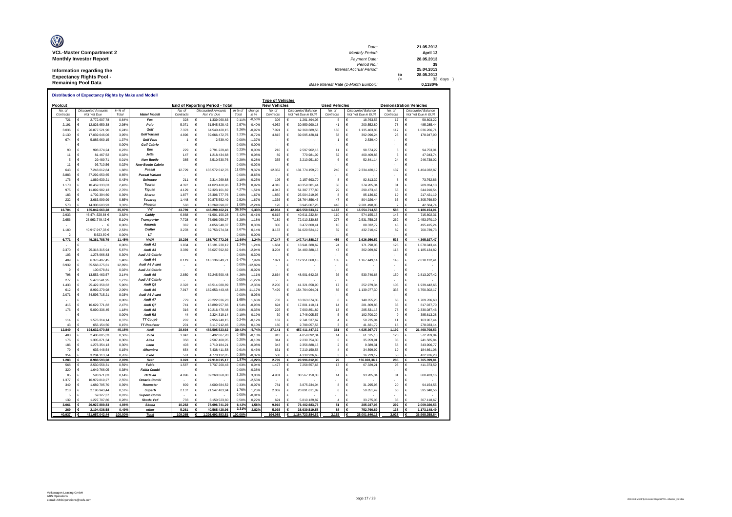| O<br><b>VCL-Master Compartment 2</b> | Date:<br><b>Monthly Period:</b>       |      | 21.05.2013<br>April 13 |
|--------------------------------------|---------------------------------------|------|------------------------|
|                                      |                                       |      |                        |
| <b>Monthly Investor Report</b>       | Payment Date:                         |      | 28.05.2013             |
|                                      | Period No.:                           |      | 39                     |
| Information regarding the            | <b>Interest Accrual Period:</b>       |      | 25.04.2013             |
|                                      |                                       | to   | 28.05.2013             |
| <b>Expectancy Rights Pool -</b>      |                                       | $(=$ | 33 days                |
| <b>Remaining Pool Data</b>           | Base Interest Rate (1-Month Euribor): |      | 0.1180%                |

|                   |            |                                          |                  |                             |                   |                                          |                  |                | <b>Type of Vehicles</b> |                                                 |                      |                                                 |                    |                                                 |
|-------------------|------------|------------------------------------------|------------------|-----------------------------|-------------------|------------------------------------------|------------------|----------------|-------------------------|-------------------------------------------------|----------------------|-------------------------------------------------|--------------------|-------------------------------------------------|
| Poolcut           |            |                                          |                  |                             |                   | End of Reporting Period - Total          |                  |                | <b>New Vehicles</b>     |                                                 | <b>Used Vehicles</b> |                                                 |                    | <b>Demonstration Vehicles</b>                   |
| No a<br>Contracts |            | <b>Discounted Amounts</b><br>Not Yet Due | in % of<br>Total | Make/ Modell                | No o<br>Contracts | <b>Discounted Amounts</b><br>Not Yet Due | in % of<br>Total | change<br>in % | No of<br>Contracts      | <b>Discounted Balance</b><br>Not Yet Due in EUR | No. of<br>Contracts  | <b>Discounted Balance</b><br>Not Yet Due in EUR | No of<br>Contracts | <b>Discounted Balance</b><br>Not Yet Due in EUR |
| 721               | €          | 2.772.607,78                             | 0.64%            | Fox                         | 328               | 1.339.060,83<br>€                        | 0,11%            | $-0,53%$       | 306                     | 1.261.494,05<br>€                               | 5                    | 18.763,56<br>€                                  | 17                 | 58.803,22<br>€                                  |
| 2.191             | €          | 12.826.659,38                            | 2,98%            | Polo                        | 5.071             | €<br>31.545.828,42                       | 2,57%            | $-0,40%$       | 4.952                   | €<br>30.859.990,18                              | 41                   | €<br>200.552,80                                 | 78                 | €<br>485.285,44                                 |
| 3.036             | €          | 26.877.521,90                            | 6,24%            | Golf                        | 7.373             | €<br>64.540.420,15                       | 5.26%            | $-0,97%$       | 7.091                   | €<br>62.368.689,58                              | 165                  | €<br>1.135.463,86                               | 117                | €<br>1.036.266,71                               |
| 2.130             | €          | 17.039.646,06                            | 3,95%            | <b>Golf Variant</b>         | 4.896             | €<br>39.666.472,75                       | 3,23%            | $-0,729$       | 4.815                   | €<br>39.095.428,61                              | 58                   | €<br>392.096,24                                 | 23                 | €<br>178.947,90                                 |
| 674               | €          | 5 885 669 15                             | 1,37%            | <b>Golf Plus</b>            |                   | €<br>2.539,40                            | 0.00%            | $-1,37%$       |                         | €                                               | $\overline{1}$       | €<br>2.539,40                                   |                    | €                                               |
|                   | €          |                                          | 0,00%            | Golf Cabrio                 |                   | €                                        | 0.00%            | 0,00%          |                         | €                                               |                      | €                                               |                    | €                                               |
| 90                | €          | 998.274.24                               | 0.23%            | Eos                         | 229               | €<br>2.791.229.48                        | 0.23%            | 0.00%          | 210                     | 2.597.902.18<br>€                               | 11                   | 98.574.29<br>€                                  | 8                  | 94.753.01<br>€                                  |
| 11                | €          | 81.467,52                                | 0.02%            | Jetta                       | 147               | €<br>1.218.434.68                        | 0,10%            | 0.089          | 89                      | €<br>770.981.09                                 | 52                   | €<br>400.409.85                                 | 6                  | €<br>47.043.74                                  |
| 5                 | €          | 29.489,71                                | 0.01%            | <b>New Beetle</b>           | 385               | 3.510.530,76<br>€                        | 0,29%            | 0.28%          | 355                     | 3.210.951,60<br>€                               | 6                    | €<br>52.841,14                                  | 24                 | €<br>246.738,02                                 |
| 11                | €          | 93.710,56                                | 0,02%            | <b>New Beetle Cabrio</b>    |                   | €                                        | 0.00%            | $-0.029$       |                         | €                                               |                      | €                                               |                    | €                                               |
| 643               | $\epsilon$ | 7.248.012,84                             | 1.68%            | Passat                      | 12729             | €<br>135.572.612,76                      | 11,05%           | 9.37%          | 12.352                  | 131.774.159,70<br>€                             | 240                  | €<br>2.334.420,19                               | 137                | €<br>1.464.032,87                               |
| 3.883             | €          | 37.292.650,65                            | 8,65%            | Passat Variant              |                   | €                                        | 0,00%            | $-8,65%$       |                         | €                                               |                      | €                                               |                    | €                                               |
| 176               | $\epsilon$ | 1.869.639,21                             | 0.43%            | Scirocco                    | 211               | €<br>2.314.269,88                        | 0,19%            | $-0.25%$       | 195                     | €<br>2.157.693,70                               | 8                    | €<br>82 813 32                                  | $\mathbf{a}$       | €<br>73 762 86                                  |
| 1.170             | €          | 10.459.333,63                            | 2,43%            | Touran                      | 4.397             | €<br>41.023.420,96                       | 3,34%            | 0,92%          | 4.316                   | €<br>40.359.381,44                              | 50                   | €<br>374.205,34                                 | 31                 | €<br>289.834,18                                 |
| 975               | €          | 11.892.982,13                            | 2,76%            | Tiguan                      | 4.129             | €<br>52.323.161,82                       | 4,27%            | 1,51%          | 4.047                   | €<br>51.387.777,80                              | 29                   | €<br>290.473,48                                 | 53                 | €<br>644.910,54                                 |
| 183               | €          | 1.702.394,60                             | 0,39%            | Sharan                      | 1.877             | €<br>25.306.777,76                       | 2.06%            | 1,67%          | 1.850                   | €<br>25.004.219,95                              | 8                    | €<br>85.136,62                                  | 19                 | €<br>217.421,19                                 |
| 232               | $\epsilon$ | 3.663.999,99                             | 0,85%            | Touared                     | 1.448             | $\in$<br>30.875.552,49                   | 2,52%            | 1,67%          | 1.336                   | €<br>28.764.856,46                              | 47                   | €<br>804.926,44                                 | 65                 | €<br>1.305.769,59                               |
| 573               | €          | 14.308.603,93                            | 3,329            | Phaeton                     | 568               | 13.269.090,07                            | 1,08%            | $-2.249$       | 120                     | €<br>3.945.007,28                               | 446                  | 9.281.498,05                                    | 2                  | €<br>42.584,74                                  |
| 16.704            | €          | 155.042.663.28                           | 35.97%           | vw                          | 43.789            | €<br>445.299.402.21                      | 36,30%           | 0.33%          | 42.034                  | €<br>423.558.533.62                             | 1.167                | €<br>15.554.714.58                              | 588                | €<br>6.186.154.01                               |
| 2.933             |            |                                          | 3,82%            |                             | 6.868             | €                                        | 3,42%            | $-0.419$       | 6.615                   | €                                               | 110                  | €                                               |                    | €                                               |
| 2.656             |            | 16.474.528,84 €<br>21.963.719.12 €       | 5.10%            | Caddy<br><b>Transporter</b> | 7.728             | 41.901.190,28<br>€<br>76.996.059.27      | 6.28%            | 1.18%          | 7.189                   | 40.611.232,84<br>€<br>72.010.330.83             | 277                  | 574.155,13<br>€<br>2.531.758.25                 | 143<br>262         | 715.802,31<br>€<br>2.453.970.19                 |
|                   |            |                                          |                  | Amarok                      |                   |                                          | 0.33%            |                |                         |                                                 |                      |                                                 |                    |                                                 |
|                   |            | - €                                      | 0.00%<br>2.53%   | Crafter                     | 362               | €<br>4.056.548,37<br>€                   | 2.67%            | 0.339<br>0.14% | 306                     | €<br>3.472.800,41<br>€                          | 10                   | €<br>88.332,72                                  | 46                 | €<br>495.415,24<br>€                            |
| 1.180             |            | 10.917.917,33 €                          |                  | LT                          | 3.278             | 32.753.974,34                            | 0.00%            |                | 3.137                   | 31.620.524,19                                   | 59                   | €<br>432.710,42<br>Ė                            | 82                 | 700.739,73                                      |
|                   |            | 5.623,50 €                               | 0,00%            |                             |                   |                                          |                  | 0,00%          |                         |                                                 |                      |                                                 |                    |                                                 |
| 6.771             |            | 49.361.788,79                            | 11,45%           | <b>VWN</b>                  | 18.236            | 155.707.772,26<br>€                      | 12,69%           | 1,24%          | 17.247                  | 147.714.888,27                                  | 456                  | 3.626.956,52<br>€                               | 533                | 4.365.927,47<br>€                               |
|                   | €          |                                          | 0,00%            | Audi A1                     | 1.834             | 15.191.230,12<br>€                       | 1,249            | 1,249          | 1.684                   | 13.941.388.62<br>€                              | 24                   | €<br>171,798.06                                 | 126                | €<br>1.078.043,44                               |
| 2.370             | €          | 25.318.315,94                            | 5,87%            | Audi A3                     | 3.369             | €<br>36.027.592,82                       | 2,94%            | $-2.94%$       | 3.204                   | €<br>34.480.388,13                              | 47                   | €<br>362.069,87                                 | 118                | €<br>1.185.134,82                               |
| 103               | €          | 1.278.966,83                             | 0.30%            | Audi A3 Cabrio              |                   | €                                        | 0,00%            | $-0,30%$       |                         | €                                               |                      | €                                               |                    | €                                               |
| 489               | €          | 6.376.497,45                             | 1,48%            | Audi A4                     | 8.119             | €<br>116.136.649,71                      | 9,47%            | 7,99%          | 7.871                   | €<br>112.951.068,16                             | 105                  | €<br>1.167.449,14                               | 143                | €<br>2.018.132,41                               |
| 3.939             | €          | 55.568.275.61                            | 12.89%           | <b>Audi A4 Avant</b>        |                   | €                                        | 0.00%            | 12.89%         |                         | €                                               |                      | €                                               |                    | €                                               |
| 9                 | €          | 100.078,81                               | 0,02%            | Audi A4 Cabrio              |                   | €                                        | 0,00%            | $-0,029$       |                         | €                                               |                      | €                                               |                    | €                                               |
| 798               | €          | 13.553.463,57                            | 3,14%            | Audi A5                     | 2.850             | 52.245.590.48<br>€                       | 4.26%            | 1,119          | 2.664                   | €<br>48.901.642,38                              | 36                   | €<br>530.740,68                                 | 150                | €<br>2.813.207,42                               |
| 277               | €          | 5.473.541,95                             | 1,279            | Audi A5 Cabrio              |                   | €                                        | 0,00%            | $-1,279$       |                         | €                                               |                      | €                                               |                    | €                                               |
| 1 433             | €          | 25 422 358 62                            | 5.90%            | Audi Q5                     | 2.322             | €<br>43.514.080.89                       | 3.55%            | $-2.35%$       | 2.200                   | €<br>41.321.658.90                              | 17                   | €<br>252 979 34                                 | 105                | €<br>1 939 442 65                               |
| 612               | €          | 8.992.279.98                             | 2.09%            | Audi A6                     | 7.917             | €<br>162.653.443,48                      | 13,26%           | 11.179         | 7.499                   | €<br>154.764.064,01                             | 85                   | €<br>1.139.077,30                               | 333                | €<br>6.750.302,17                               |
| 2.071             | $\epsilon$ | 34.595.715,21                            | 8.03%            | Audi A6 Avant               |                   | €                                        | 0,00%            | $-8.039$       |                         | €                                               |                      | €                                               |                    | €                                               |
|                   | €          |                                          | 0,00%            | Audi A7                     | 779               | €<br>20.222.036,23                       | 1,65%            | 1,65%          | 703                     | €<br>18.363.674,35                              | 8                    | €<br>148.655,28                                 | 68                 | €<br>1.709.706,60                               |
| 415               | €          | 10.629.771,82                            | 247%             | Audi 07                     | 741               | €<br>18.899.957,66                       | 1,54%            | $-0.939$       | 694                     | €<br>17.801.110,11                              | 14                   | €<br>281.809,85                                 | 33                 | €<br>817.037,70                                 |
| 176               | €          | 5.090.336,45                             | 1,18%            | Audi A8                     | 316               | €<br>10.216.470,48                       | 0,83%            | $-0,35%$       | 225                     | €<br>7.600.851,89                               | 13                   | €<br>285.531,13                                 | 78                 | €<br>2.330.087,46                               |
|                   | €          |                                          | 0.00%            | Audi R8                     | 44                | $\in$<br>2.324.319,14                    | 0,19%            | 0,19%          | 30                      | €<br>1.746.005,57                               | 5                    | €<br>192.700,29                                 | $\overline{9}$     | €<br>385.613,28                                 |
| 114               | €          | 1.576.314,14                             | 0,37%            | <b>TT Coupé</b>             | 202               | $\epsilon$<br>2.956.240,15               | 0,24%            | $-0,129$       | 187                     | €<br>2.741.537,67                               | $\overline{4}$       | €<br>50.735,04                                  | 11                 | €<br>163.967,44                                 |
| 43                | €          | 656.154,50                               | 0,15%            | <b>TT Roadster</b>          | 201               | €<br>3.117.912,46                        | 0,25%            | 0.10%          | 180                     | €<br>2.798.057,53                               | $\overline{3}$       | Ė<br>41.821,79                                  | 18                 | €<br>278.033,14                                 |
| 12.849            | €          | 194.632.070,88                           | 45,15%           | Audi                        | 28.694            | 483.505.523,62                           | 39,42%           | $-5,74%$       | 27.141                  | 457.411.447,32                                  | 361                  | 4.625.367,77<br>€                               | 1.192              | 21.468.708,53                                   |
| 488               | €          | 2.486.805,33                             | 0,58%            | Ibiza                       | 1.047             | €<br>5.492.887,28                        | 0,45%            | $-0,139$       | 913                     | €<br>4.859.092,34                               | 14                   | €<br>61.525,10                                  | 120                | €<br>572.269,84                                 |
| 176               | €          | 1.305.871,34                             | 0.30%            | Altea                       | 358               | €<br>2.507.400,05                        | 0.20%            | $-0.109$       | 314                     | €<br>2.230.754,30                               | 6                    | €<br>35.059,91                                  | 38                 | €<br>241.585,84                                 |
| 186               | €          | 1.276.354.13                             | 0.30%            | Leon                        | 403               | €<br>2.710.184.21                        | 0,22%            | $-0.089$       | 343                     | €<br>2.356.888.13                               | $\overline{2}$       | €<br>9.389.31                                   | 58                 | €<br>343.906.77                                 |
| 79                | €          | 635.448,54                               | 0,15%            | Alhambra                    | 654               | €<br>7.438.411,58                        | 0.61%            | 0,46%          | 631                     | €<br>7.219.150,58                               | $\overline{a}$       | €<br>34.599,92                                  | 19                 | €<br>184.661,08                                 |
| 354               | €          | 3.284.113.74                             | 0.76%            | Exeo                        | 561               | 4.770.132.05                             | 0.39%            | $-0.379$       | 508                     | 4.330.926.65<br>€                               | 3                    | 16.229,12                                       | 50                 | 422.976.28                                      |
| 1.283             | £          | 8.988.593,08                             | 2,09%            | Seat                        | 3.023             | €<br>22.919.015,17                       | 1,87%            | $-0.22%$       | 2.709                   | €<br>20.996.812,00                              | 29                   | 156.803,36 €                                    | 285                | £<br>1.765.399,81                               |
| 568               | €          | 2.530.558,31                             | 0,59%            | Fabia                       | 1.587             | €<br>7.737.260,43                        | 0,63%            | 0.04%          | 1.477                   | €<br>7.258.557,63                               | 17                   | €<br>67.329,21                                  | 93                 | €<br>411.373,59                                 |
| 320               | €          | 1.649.766,05                             | 0,38%            | <b>Fabia Combi</b>          |                   | €                                        | 0.00%            | $-0,38%$       |                         | €                                               |                      | €                                               |                    | €                                               |
| 85                | €          | 593.971,83                               | 0,14%            | Octavia                     | 4.996             | 39.260.868,80<br>€                       | 3,20%            | 3.06%          | 4.901                   | €<br>38.567.150,30                              | 14                   | 93.285,34<br>€                                  | 81                 | 600.433,16<br>€                                 |
| 1.377             | €          | 10.979.819,27                            | 2,55%            | Octavia Combi               |                   | €                                        | 0.00%            | $-2.559$       |                         | €                                               |                      | €                                               |                    | €                                               |
| 349               | €          | 1.689.795,70                             | 0,39%            | Roomster                    | 809               | €<br>4.000.684,52                        | 0,33%            | $-0,079$       | 781                     | €<br>3.875.234,04                               | $\mathbf{a}$         | €<br>31.295,93                                  | 20                 | €<br>94.154,55                                  |
| 218               | €          | 2.196.943,44                             | 0.51%            | <b>Superb</b>               | 2.137             | €<br>21.547.403.94                       | 1,76%            | 1,25%          | 2.069                   | €<br>20.891.611.89                              | 8                    | €<br>59.851.49                                  | 60                 | €<br>595.940.56                                 |
| 5                 | $\epsilon$ | 59.327,37                                | 0,01%            | <b>Superb Combi</b>         |                   | €                                        | 0,00%            | $-0,01%$       |                         | €                                               |                      | €                                               |                    | €                                               |
| 139               | €          | 1.227.707.86                             | 0.28%            | Skoda Yeti                  | 733               | 6 150 523 60                             | 0.50%            | 0.229          | 691                     | 5.810.129.87                                    | $\overline{a}$       | 33 275 06                                       | 38                 | 307.118.67                                      |
| 3.061             | €          | 20.927.889,83                            | 4,86%            | Skoda                       | 10.262            | 78.696.741,29                            | 6,42%            | 1,56%          | 9.919                   | 76.402.683,73                                   | 51                   | 285.037,03                                      | 292                | 2.009.020,53                                    |
| 269               | €          | 2.104.036.58                             | $0.49^{\circ}$   | other                       | 5.261             | 40.565.428.96<br>€                       | 3.31%            | 2.82%          | 5.035                   | 38.639.519.58                                   | 88                   | 752.760.89                                      | 138                | 1.173.148,49                                    |
|                   | €          | 431.057.042,44                           | 100,00%          | <b>Total</b>                | 109.265           | 1.226.693.883,51<br>€                    | 100,00%          |                | 104.085                 | $6$ 1.164.723.884,52                            | 2.152                | 25.001.640,15                                   | 3.028              | 36.968.358,84<br>€                              |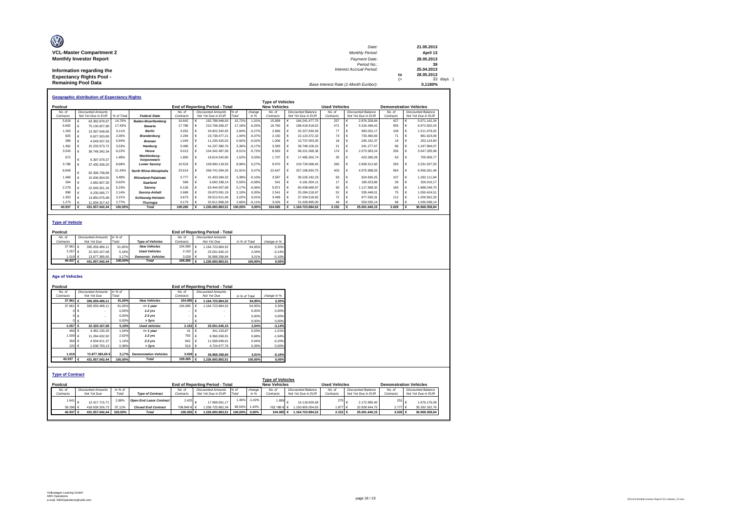| O                               | Date:                                 |     | 21.05.2013 |
|---------------------------------|---------------------------------------|-----|------------|
| <b>VCL-Master Compartment 2</b> | <b>Monthly Period:</b>                |     | April 13   |
| <b>Monthly Investor Report</b>  | Payment Date:                         |     | 28.05.2013 |
|                                 | Period No.:                           |     | 39         |
| Information regarding the       | Interest Accrual Period:              |     | 25.04.2013 |
| <b>Expectancy Rights Pool -</b> |                                       | to  | 28.05.2013 |
|                                 |                                       | $=$ | 33 days    |
| <b>Remaining Pool Data</b>      | Base Interest Rate (1-Month Euribor): |     | 0.1180%    |

|           | <b>Geographic distribution of Expectancy Rights</b> |                           |            |                            |           |  |                                        |         |          |                         |  |                    |                      |            |                           |                               |                    |
|-----------|-----------------------------------------------------|---------------------------|------------|----------------------------|-----------|--|----------------------------------------|---------|----------|-------------------------|--|--------------------|----------------------|------------|---------------------------|-------------------------------|--------------------|
|           |                                                     |                           |            |                            |           |  |                                        |         |          | <b>Type of Vehicles</b> |  |                    |                      |            |                           |                               |                    |
| Poolcut   |                                                     |                           |            |                            |           |  | <b>End of Reporting Period - Total</b> |         |          | <b>New Vehicles</b>     |  |                    | <b>Used Vehicles</b> |            |                           | <b>Demonstration Vehicles</b> |                    |
| No. of    |                                                     | <b>Discounted Amounts</b> |            |                            | No. of    |  | <b>Discounted Amounts</b>              | % $of$  | change   | No. of                  |  | Discounted Balance | No. of               |            | <b>Discounted Balance</b> | No of                         | Discounted Balance |
| Contracts |                                                     | Not Yet Due in EUR        | % of Total | <b>Federal State</b>       | Contracts |  | Not Yet Due in EUR                     | Total   | in %     | Contracts               |  | Not Yet Due in EUR | Contracts            |            | Not Yet Due in EUR        | Contracts                     | Not Yet Due in EUR |
| 5.818     |                                                     | 63.382.878.97             | 14.70%     | <b>Baden-Wuerttemberg</b>  | 16.642    |  | 192.788.948.93                         | 15.72%  | 1.01%    | 15.958                  |  | 184.241.477.75     | 257                  |            | 2.876.328.84              | 427                           | 5.671.142.34       |
| 6.692     |                                                     | 75.130.927.98             | 17.43%     | Bavaria                    | 17,786    |  | 210.708.269.37                         | 17.18%  | $-0.25%$ | 16,760                  |  | 198.419.418.52     | 471                  |            | 5.316.348.42              | 555                           | 6.972.502.43       |
| 1.263     |                                                     | 13.397.548.66             | 3.11%      | <b>Berlin</b>              | 3.052     |  | 34.822.342.65                          | 2.84%   | $-0.27%$ | 2.866                   |  | 32.327.830.56      | 77                   |            | 983.032.17                | 109                           | 1.511.479.92       |
| 925       |                                                     | 8.627.503.80              | 2.00%      | <b>Brandenburg</b>         | 2.294     |  | 23.738.477.21                          | 1,94%   | $-0.07%$ | 2.150                   |  | 22.123.372.32      | 73                   |            | 733.480.83                | 71                            | 881.624.06         |
| 389       |                                                     | 4.049.037.33              | 0.94%      | <b>Bremen</b>              | 1.043     |  | 11.235.420.02                          | 0,92%   | $-0.02%$ | 1.006                   |  | 10.737.053.05      | 18                   |            | 245.242.37                | 19                            | 253.124.60         |
| 1.362     |                                                     | 15.233.573.72             | 3.53%      | Hamburg                    | 3.490     |  | 41.237.380.76                          | 3.36%   | $-0.17%$ | 3.383                   |  | 39.748.109.22      | 21                   |            | 241.277.47                | 86                            | 1.247.994,07       |
| 3.543     |                                                     | 39.748.342.34             | 9.22%      | Hesse                      | 9.013     |  | 104.342.487.58                         | 8,51%   | $-0.72%$ | 8.583                   |  | 99.221.568.36      | 174                  |            | 2.073.583.24              | 256                           | 3.047.335,98       |
| 672       |                                                     | 6.397.079.37              | 1.48%      | Mecklenburg-<br>Vorpommern | 1.805     |  | 18.614.542.80                          | 1,52%   | 0.03%    | 1.707                   |  | 17.485.302.74      | 35                   |            | 423.280.29                | 63                            | 705.959.77         |
| 3.788     |                                                     | 37.435.339.20             | 8.68%      | <b>Lower Saxony</b>        | 10.523    |  | 109.900.118.55                         | 8,96%   | 0.27%    | 9.970                   |  | 103.729.068.45     | 260                  |            | 2.839.512.60              | 293                           | 3.331.537.50       |
| 8.849     |                                                     | 92.396.738.89             | 21,43%     | North Rhine-Westphalia     | 23.614    |  | 268.741.094.26                         | 21,91%  | 0.47%    | 22.647                  |  | 257.196.834,75     | 403                  |            | 4.975.998.03              | 564                           | 6.568.261.48       |
| 1.469     |                                                     | 15.006.654.55             | 3.48%      | Rhineland-Palatinate       | 3 7 7 7   |  | 41.433.284.32                          | 3.38%   | $-0.10%$ | 3.587                   |  | 39 226 242 23      | 83                   |            | 924.930.25                | 107                           | 1 282 111 84       |
| 264       |                                                     | 2.682.607.30              | 0.62%      | Saarland                   | 586       |  | 6.692.338.14                           | 0,55%   | $-0.08%$ | 541                     |  | 6.181.304.11       | 17                   |            | 185.023.86                | 28                            | 326.010.17         |
| 2.279     |                                                     | 22.549.321.16             | 5.23%      | Saxonv                     | 6.126     |  | 63.444.507.99                          | 5,17%   | $-0.06%$ | 5.871                   |  | 60.438.669.97      | 90                   |            | 1.117.588.32              | 165                           | 1.888.249.70       |
| 998       |                                                     | 9.235.095.77              | 2.14%      | Saxony-Anhalt              | 2.668     |  | 26.870.091.19                          | 2,19%   | 0.05%    | 2.541                   |  | 25.284.218.67      | 52                   |            | 535.448.01                | 75                            | 1.050.424.51       |
| 1.353     |                                                     | 13.850.075.98             | 3.21%      | <b>Schleswig-Holstein</b>  | 3.673     |  | 39.512.611.46                          | 3,22%   | 0.01%    | 3 489                   |  | 37.334.518.82      | 72                   |            | 977.530.31                | 112                           | 1.200.562.33       |
| 1.273     |                                                     | 11.934.317.42             | 2.77%      | <b>Thuringia</b>           | 3.173     |  | 32.611.968.28                          | 2,66%   | $-0.11%$ | 3.026                   |  | 31.028.895.00      | 49                   |            | 553.035.14                | 98                            | 1.030.038.14       |
| 40.937    |                                                     | 431.057.042.44            | 100.00%    | <b>Total</b>               | 109.265   |  | .226.693.883.5                         | 100.00% | 0.00%    | 104.085                 |  | 1.164.723.884.52   | 2.152                | $\epsilon$ | 25.001.640.15             | 3.028                         | 36.968.358.84      |

### **Type of Vehicle**

| Poolcut              |                           |         |                           |                    | <b>End of Reporting Period - Total</b> |               |             |
|----------------------|---------------------------|---------|---------------------------|--------------------|----------------------------------------|---------------|-------------|
| No. of               | <b>Discounted Amounts</b> | in % of |                           | No of              | <b>Discounted Amounts</b>              |               |             |
| Contracts            | Not Yet Due               | Total   | <b>Type of Vehicles</b>   | Contracts          | Not Yet Due                            | in % of Total | change in % |
| 37.861 $\in$         | 395.059.489.11            | 91.65%  | <b>New Vehicles</b>       | 104.085 $\in$      | 1.164.723.884.52                       | 94.95%        | 3.30%       |
| 2.057 €              | 22.320.167.68             | 5.18%   | <b>Used Vehicles</b>      | 2.152 €            | 25.001.640.15                          | 2.04%         | $-3.14%$    |
| 1.019 $6$            | 13.677.385.65             | 3.17%   | <b>Demonstr.</b> Vehicles | 3.028              | 36.968.358.84                          | 3.01%         | $-0.16%$    |
| 40.937 $\varepsilon$ | 431.057.042.44            | 100.00% | Total                     | 109.265 $\epsilon$ | .226.693.883.51                        | 100.00%       | 0.00%       |

#### **Age of Vehicles**

| Poolcut                            |                              |         |                                              |                    | End of Reporting Period - Total |         |               |                                                |                                |                      |                           |                               |  |
|------------------------------------|------------------------------|---------|----------------------------------------------|--------------------|---------------------------------|---------|---------------|------------------------------------------------|--------------------------------|----------------------|---------------------------|-------------------------------|--|
| No. of                             | <b>Discounted Amounts</b>    | in % of |                                              | No. of             | <b>Discounted Amounts</b>       |         |               |                                                |                                |                      |                           |                               |  |
| Contracts                          | Not Yet Due                  | Total   |                                              | Contracts          | Not Yet Due                     |         | in % of Total | change in %                                    |                                |                      |                           |                               |  |
| 37.861 $\epsilon$                  | 395.059.489.11               | 91,65%  | <b>New Vehicles</b>                          | 104.085 $\epsilon$ | 1.164.723.884.52                |         | 94.95%        | 3,30%                                          |                                |                      |                           |                               |  |
| 37.861 €                           | 395.059.489.11               | 91.65%  | $= 1$ year                                   | 104.085            | 1.164.723.884.52<br>€           |         | 94.95%        | 3,30%                                          |                                |                      |                           |                               |  |
|                                    |                              | 0.00%   | $1-2$ vrs                                    |                    | €                               |         | 0.00%         | 0,00%                                          |                                |                      |                           |                               |  |
|                                    | $0 \in$                      | 0.00%   | $2-3$ $Vrs$                                  |                    | €                               |         | 0,00%         | 0,00%                                          |                                |                      |                           |                               |  |
|                                    | 0 €                          | 0.00%   | > 3vrs                                       |                    | €                               |         | 0.00%         | 0,00%                                          |                                |                      |                           |                               |  |
| 2.057 €                            | 22.320.167.68                | 5.18%   | <b>Used vehicles</b>                         | 2.152 €            | 25.001.640.15                   |         | 2.04%         | $-3,14%$                                       |                                |                      |                           |                               |  |
| 469 €                              | 4.462.130.26                 | 1.04%   | $= 1$ vear                                   | 41                 | €<br>341.153.87                 |         | 0.03%         | $-1.01%$                                       |                                |                      |                           |                               |  |
| 1.009 €                            | 11.284.632.92                | 2.62%   | $1-2$ vrs                                    | 750                | 8.366.558.91                    |         | 0,68%         | $-1,94%$                                       |                                |                      |                           |                               |  |
| 359 $6$                            | 4.934.611.37                 | 1.14%   | $2-3$ $Vrs$                                  | 842                | 11.568.949.61<br>€              |         | 0.94%         | $-0.20%$                                       |                                |                      |                           |                               |  |
| 220 €                              | 1.638.793,13                 | 0,38%   | > 3yrs                                       | 519                | 4.724.977.76<br>$\epsilon$      |         | 0.39%         | 0,00%                                          |                                |                      |                           |                               |  |
|                                    |                              |         |                                              |                    |                                 |         |               |                                                |                                |                      |                           |                               |  |
| 1.019<br>40.937                    | 13,677,385,65€               | 3.17%   | <b>Demonstation Vehicles</b><br><b>Total</b> | 3.028 €            | 36.968.358.84                   |         | 3,01%         | $-0,16%$                                       |                                |                      |                           |                               |  |
|                                    | 431.057.042.44<br>$\epsilon$ | 100.00% |                                              | 109.265 $\epsilon$ | 1.226.693.883.51                |         | 100.00%       | 0,00%                                          |                                |                      |                           |                               |  |
| <b>Type of Contract</b><br>Poolcut |                              |         |                                              |                    | End of Reporting Period - Total |         |               | <b>Type of Vehicles</b><br><b>New Vehicles</b> |                                | <b>Used Vehicles</b> |                           | <b>Demonstration Vehicles</b> |  |
| No. of                             | <b>Discounted Amounts</b>    | in % of |                                              | No. of             | <b>Discounted Amounts</b>       | $%$ of  | change        | No. of                                         | <b>Discounted Balance</b>      | No. of               | <b>Discounted Balance</b> | No. of                        |  |
| Contracts                          | Not Yet Due                  | Total   | <b>Type of Contract</b>                      | Contracts          | Not Yet Due in EUR              | Total   | in %          | Contracts                                      | Not Yet Due in EUR             | Contracts            | Not Yet Due in EUR        | Contracts                     |  |
| 1.641                              | 12.417.715.71                | 2,88%   | <b>Open End Lease Contract</b>               | 2.425              | 17.968.001.17                   | 1,46%   | $-1.42%$      | 1.899                                          | $\epsilon$<br>14.118.829.69    | 275                  | 2.172.995.40              | 251                           |  |
| 39.296 €                           | 418.639.326,73               | 97,12%  | <b>Closed End Contract</b>                   | 106.840 € €        | 1.208.725.882.34                | 98,54%  | 1,42%         | 102.186 €                                      | 1.150.605.054.83<br>$\epsilon$ | 1.877 €              | 22.828.644.75             | 2.777 E                       |  |
| 40.937 €                           | 431.057.042.44               | 100.00% | <b>Total</b>                                 | 109.265 €          | 1.226.693.883.51                | 100.00% | 0.00%         | 104.085 €                                      | 1.164.723.884.52               | 2.152 €              | 25.001.640.15             | 3.028 €                       |  |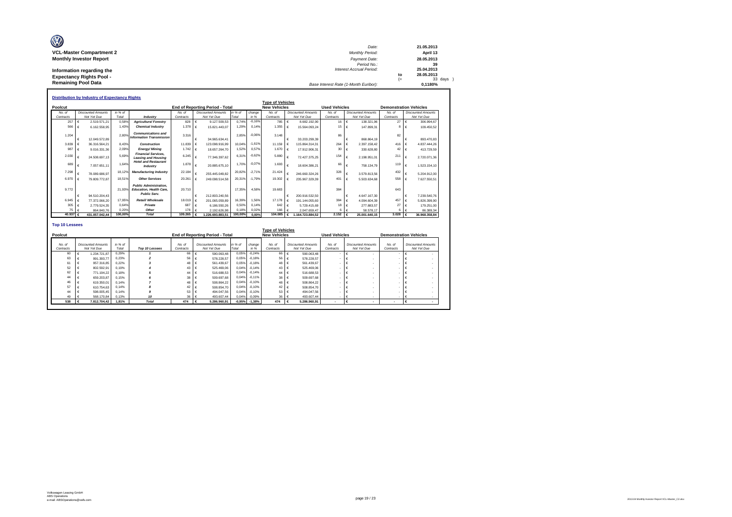| Ø                               |                                       |            |                       |
|---------------------------------|---------------------------------------|------------|-----------------------|
|                                 | Date:                                 |            | 21.05.2013            |
| <b>VCL-Master Compartment 2</b> | <b>Monthly Period:</b>                |            | April 13              |
| <b>Monthly Investor Report</b>  | Payment Date:<br>Period No.:          |            | 28.05.2013<br>39      |
| Information regarding the       | <b>Interest Accrual Period:</b>       |            | 25.04.2013            |
| <b>Expectancy Rights Pool -</b> |                                       | to<br>$(=$ | 28.05.2013<br>33 days |
| <b>Remaining Pool Data</b>      | Base Interest Rate (1-Month Euribor): |            | 0.1180%               |
|                                 |                                       |            |                       |

|                         | <b>Distribution by Industry of Expectancy Rights</b><br><b>Type of Vehicles</b>  |                  |                                                                                        |                |   |                                        |                  |          |                     |            |                           |                       |            |                           |                               |    |                           |
|-------------------------|----------------------------------------------------------------------------------|------------------|----------------------------------------------------------------------------------------|----------------|---|----------------------------------------|------------------|----------|---------------------|------------|---------------------------|-----------------------|------------|---------------------------|-------------------------------|----|---------------------------|
|                         |                                                                                  |                  |                                                                                        |                |   |                                        |                  |          |                     |            |                           |                       |            |                           |                               |    |                           |
| Poolcut                 |                                                                                  |                  |                                                                                        |                |   | <b>End of Reporting Period - Total</b> |                  |          | <b>New Vehicles</b> |            |                           | <b>Used Vehicles</b>  |            |                           | <b>Demonstration Vehicles</b> |    |                           |
| No. of                  | <b>Discounted Amounts</b><br>Not Yet Due                                         | in % of          |                                                                                        | No. of         |   | <b>Discounted Amounts</b>              | in % of          | change   | No. of              |            | <b>Discounted Amounts</b> | No of                 |            | <b>Discounted Amounts</b> | No. of                        |    | <b>Discounted Amounts</b> |
| Contracts               |                                                                                  | Total            | Industry                                                                               | Contracts      |   | Not Yet Due                            | Total            | in %     | Contracts           |            | Not Yet Due               | Contracts             |            | Not Yet Due               | Contracts                     |    | Not Yet Due               |
| 257                     | 2.519.571.21<br>$\epsilon$                                                       | 0.58%            | <b>Agriculture/Forestrv</b>                                                            | 828            | € | 9.127.509.53                           | 0.74%            | $-0.16%$ | 785                 | $\epsilon$ | 8.682.192.90              | 16 €                  |            | 138,321.96                | 27                            |    | 306.994.67                |
| 566                     | 6.162.558.95<br>£                                                                | 1.43%            | <b>Chemical Industry</b>                                                               | 1.378          | € | 15.821.443.07                          | 1,29%            | 0.149    | 1.355               | $\epsilon$ | 15.564.093.24             | $15 \quad \in$        |            | 147.899.31                | <b>R</b>                      | I€ | 109.450.52                |
| 1.204                   |                                                                                  | 2.80%            | <b>Communications and</b>                                                              | 3.316          |   |                                        | 2.85%            | $-0.069$ | 3.148               |            |                           | 86                    |            |                           | 82                            |    |                           |
|                         | $\epsilon$<br>12.049.572.89                                                      |                  | <b>Information Transmission</b>                                                        |                |   | 34.965.634.41                          |                  |          |                     |            | 33.203.299.39             |                       | €          | 868.864.19                |                               |    | 893.470.83                |
| 3.839                   | 36.316.564.21                                                                    | 8.43%            | <b>Construction</b>                                                                    | 11.839         |   | 123.098.916.99                         | 10.04%           | $-1.61%$ | 11.159              |            | 115.864.314.31            | 264                   | €          | 2.397.158.42              | 416                           |    | 4.837.444.26              |
| 987                     | 9.016.331.36                                                                     | 2.09%            | <b>Energy/Mining</b>                                                                   | 1.742          |   | 18.657.264.70                          | 1.52%            | 0.57%    | 1.670               |            | 17.912.906.31             | 30 <sup>°</sup>       | $\epsilon$ | 330.628.80                | 42                            |    | 413,729.59                |
| 2.030                   | 24.508.697.13                                                                    | 5.69%            | <b>Financial Services.</b><br><b>Leasing and Housing</b>                               | 6.245          |   | 77.346.397.62                          | 6.31%            | $-0.62%$ | 5,880               | €          | 72.427.375.25             | 154                   | €          | 2.198.951.01              | 211                           |    | 2.720.071.36              |
| 689                     | 7.057.651.11                                                                     | 1.64%            | <b>Hotel and Restaurant</b><br>Industry                                                | 1.878          | € | 20.885.675.10                          | 1.70%            | $-0.079$ | 1.693               |            | 18.604.386.21             | 66                    | €          | 758.134.79                | 119                           |    | 1.523.154.10              |
| 7.298                   | 78.089.686.97                                                                    | 18.129           | <b>Manufacturing Industry</b>                                                          | 22.184         |   | 255.445.049.82                         | 20.82%           | $-2.71%$ | 21.424              |            | 246.660.324.26            | 328                   | $\epsilon$ | 3.579.813.56              | 432                           |    | 5.204.912.00              |
| 6,970                   | 79.809.772.87<br>€                                                               | 18.51%           | <b>Other Services</b>                                                                  | 20.261         |   | 249.098.514.58                         | 20.31%           | $-1.79%$ | 19,302              |            | 235.967.329.39            | 401                   |            | 5.503.634.68              | 558                           |    | 7.627.550.51              |
| 9.772                   |                                                                                  | 21.93%           | <b>Public Administration.</b><br><b>Education, Health Care.</b><br><b>Public Serv.</b> | 20.710         |   |                                        | 17.35%           | 4.58%    | 19.683              |            |                           | 384                   |            |                           | 643                           |    |                           |
|                         | 94.510.204.43<br>€                                                               |                  |                                                                                        |                | € | 212.803.240.56                         |                  |          |                     | €          | 200.916.532.50            |                       | $\epsilon$ | 4.647.167.30              |                               |    | 7.239.540.76              |
| 6.945                   | $\epsilon$<br>77.372.066.20                                                      | 17.95%           | Retail/ Wholesale                                                                      | 18,019         | € | 201.065.059.89                         | 16.39%           | 1.56%    | 17.178              | ⊧ ا        | 191.144.055.60            | 384                   | $\vdash$   | 4.094.604.39              | 457                           |    | 5.826.399.90              |
| 305                     | 2.779.524.35<br>€                                                                | 0.64%            | Private                                                                                | 687            |   | 6.186.550.26                           | 0.50%            | 0.14%    | 642                 |            | 5.729.415.69              | $18$ $\in$            |            | 277,883.57                | 27                            |    | 179.251.00                |
| 75<br>40.937 $\epsilon$ | 864.840.76<br>$\epsilon$                                                         | 0.20%<br>100,00% | Other<br><b>Total</b>                                                                  | 178<br>109.265 |   | 2.192.626.98                           | 0.18%<br>100,00% | 0.02%    | 166<br>104.085      |            | 2.047.659.47              | 6<br>2.152 $\epsilon$ | $\epsilon$ | 58,578.17                 | 3.028                         |    | 86.389.34                 |
|                         | 431.057.042.44                                                                   |                  |                                                                                        |                |   | .226.693.883.51                        |                  | 0.00%    |                     | €          | .164.723.884.52           |                       |            | 25.001.640.15             |                               |    | 36.968.358,84             |
|                         | <b>Top 10 Lessees</b><br>$T_{1} = 1.001$ and $T_{1} = 0.001$ and $T_{2} = 0.001$ |                  |                                                                                        |                |   |                                        |                  |          |                     |            |                           |                       |            |                           |                               |    |                           |

| <b>Type of Vehicles</b> |                     |  |                                          |                  |                |                     |                                          |                  |                   |                     |                                          |                      |                                          |                          |                                          |
|-------------------------|---------------------|--|------------------------------------------|------------------|----------------|---------------------|------------------------------------------|------------------|-------------------|---------------------|------------------------------------------|----------------------|------------------------------------------|--------------------------|------------------------------------------|
|                         | Poolcut             |  |                                          |                  |                |                     | <b>End of Reporting Period - Total</b>   |                  |                   | <b>New Vehicles</b> |                                          | <b>Used Vehicles</b> |                                          |                          | <b>Demonstration Vehicles</b>            |
|                         | No. of<br>Contracts |  | <b>Discounted Amounts</b><br>Not Yet Due | in % of<br>Total | Top 10 Lessees | No. of<br>Contracts | <b>Discounted Amounts</b><br>Not Yet Due | in % of<br>Total | change<br>in %    | No. of<br>Contracts | <b>Discounted Amounts</b><br>Not Yet Due | No. of<br>Contracts  | <b>Discounted Amounts</b><br>Not Yet Due | No. of<br>Contracts      | <b>Discounted Amounts</b><br>Not Yet Due |
|                         | 60                  |  | 1.234.721.87                             | 0.29%            |                | 66                  | 590.063.48                               | 0.05%            | $-0.24%$          | 66                  | 590.063,48                               |                      |                                          |                          |                                          |
|                         | 63                  |  | 991.393.77                               | 0.23%            |                | 56                  | 578.228.57                               | 0.05%            | $-0.18%$          | 56                  | 578.228.57                               |                      |                                          |                          |                                          |
|                         | 61                  |  | 957,316.85                               | 0.22%            |                | 48 $\epsilon$       | 561.439.67                               | 0.05%            | $-0.18%$          | 48                  | 561.439.67                               |                      |                                          |                          |                                          |
|                         | 52                  |  | 802.592.91                               | 0.19%            |                | 43 €                | 525.469.06                               |                  | $0.04\% - 0.14\%$ | 43                  | 525.469,06                               |                      |                                          |                          |                                          |
|                         | 62                  |  | 771.194.22                               | 0.18%            |                | 44                  | 516,688.53                               |                  | $0.04\% - 0.14\%$ | 44                  | 516,688.53                               |                      |                                          |                          |                                          |
|                         | 44                  |  | 659,203.87                               | 0.15%            |                | 38                  | 509.697.68                               | 0,04%            | $-0.11%$          | 38                  | 509,697.68                               |                      |                                          |                          |                                          |
|                         | 46                  |  | 619,350.01                               | 0.14%            |                | 48                  | 508.864.22                               | 0,04%            | $-0.10%$          | 48                  | 508.864.22                               |                      |                                          |                          |                                          |
|                         | 57                  |  | 610.754.63                               | 0.14%            |                | 42 €                | 508.854.70                               |                  | $0.04\% - 0.10\%$ | 42                  | 508.854.70                               |                      |                                          |                          |                                          |
|                         | 44                  |  | 598.005.45                               | 0.14%            |                | 53                  | 494.047.56                               | 0.04%            | $-0,10%$          | 53                  | 494.047.56                               |                      |                                          |                          |                                          |
|                         |                     |  | 568,170.84                               | 0.13%            | 10             | $36 - 6$            | 493.607.44                               |                  | 0.04% -0.09%      | 36                  | 493.607.44                               |                      |                                          |                          |                                          |
|                         | 538                 |  | 7.812.704,42                             | 1.81%            | <b>Total</b>   | 474                 | 5.286.960.91                             |                  | $-0.95\% -1.38\%$ | 474                 | 5.286.960.91                             | ٠                    |                                          | $\overline{\phantom{a}}$ |                                          |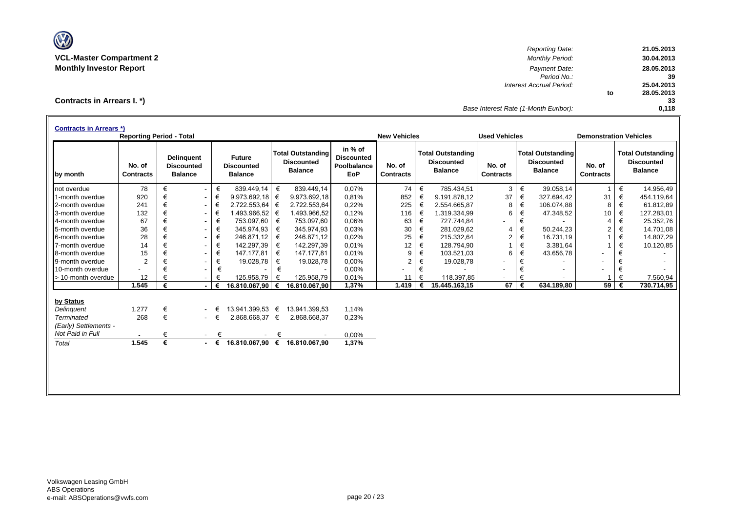

*Reporting Date:* **21.05.2013 VCL-Master Compartment 2** *Monthly Period:* **30.04.2013 Monthly Investor Report** *Payment Date:* **28.05.2013** *Period No.:* **39** *Interest Accrual Period:* **25.04.2013 to 28.05.2013 33** *Base Interest Rate (1-Month Euribor):* **0,118**

**Contracts in Arrears I. \*)**

| <b>Contracts in Arrears *)</b> | <b>Reporting Period - Total</b> |   |                                                          |             |                                                      |   |                                                                 |                                                    | <b>New Vehicles</b>        |   |                                                                 | <b>Used Vehicles</b>       |   |                                                                 | <b>Demonstration Vehicles</b> |   |                                                                 |
|--------------------------------|---------------------------------|---|----------------------------------------------------------|-------------|------------------------------------------------------|---|-----------------------------------------------------------------|----------------------------------------------------|----------------------------|---|-----------------------------------------------------------------|----------------------------|---|-----------------------------------------------------------------|-------------------------------|---|-----------------------------------------------------------------|
| by month                       | No. of<br><b>Contracts</b>      |   | <b>Delinquent</b><br><b>Discounted</b><br><b>Balance</b> |             | <b>Future</b><br><b>Discounted</b><br><b>Balance</b> |   | <b>Total Outstanding</b><br><b>Discounted</b><br><b>Balance</b> | in % of<br><b>Discounted</b><br>Poolbalance<br>EoP | No. of<br><b>Contracts</b> |   | <b>Total Outstanding</b><br><b>Discounted</b><br><b>Balance</b> | No. of<br><b>Contracts</b> |   | <b>Total Outstanding</b><br><b>Discounted</b><br><b>Balance</b> | No. of<br><b>Contracts</b>    |   | <b>Total Outstanding</b><br><b>Discounted</b><br><b>Balance</b> |
| not overdue                    | 78                              | € | $\overline{\phantom{0}}$                                 | €           | 839.449,14                                           | € | 839.449.14                                                      | 0,07%                                              | 74                         | € | 785.434,51                                                      | 3                          | € | 39.058,14                                                       |                               | € | 14.956,49                                                       |
| 1-month overdue                | 920                             | € | $\overline{\phantom{a}}$                                 | €           | 9.973.692,18                                         | € | 9.973.692,18                                                    | 0.81%                                              | 852                        | € | 9.191.878.12                                                    | 37                         | € | 327.694.42                                                      | 31                            | € | 454.119,64                                                      |
| 2-month overdue                | 241                             | € | $\sim$                                                   | €           | 2.722.553,64                                         | € | 2.722.553,64                                                    | 0,22%                                              | 225                        | € | 2.554.665,87                                                    | 8                          | € | 106.074,88                                                      | 8                             | € | 61.812,89                                                       |
| 3-month overdue                | 132                             | € | $\overline{\phantom{a}}$                                 | €           | 1.493.966,52                                         | € | 1.493.966,52                                                    | 0,12%                                              | 116                        | € | 1.319.334,99                                                    | 6                          | € | 47.348,52                                                       | 10                            | € | 127.283,01                                                      |
| 4-month overdue                | 67                              | € | $\sim$                                                   | €           | 753.097.60                                           | € | 753.097,60                                                      | 0.06%                                              | 63                         | € | 727.744.84                                                      |                            | € |                                                                 | 4                             | € | 25.352,76                                                       |
| 5-month overdue                | 36                              | € | $\sim$                                                   | €           | 345.974.93                                           | € | 345.974,93                                                      | 0.03%                                              | 30                         | € | 281.029,62                                                      | 4                          | € | 50.244.23                                                       | $\overline{c}$                | € | 14.701,08                                                       |
| 6-month overdue                | 28                              | € | $\sim$                                                   | €           | 246.871.12                                           | € | 246.871,12                                                      | 0,02%                                              | 25                         | € | 215.332,64                                                      | $\overline{2}$             | € | 16.731,19                                                       |                               | € | 14.807,29                                                       |
| 7-month overdue                | 14                              | € | $\sim$                                                   | €           | 142.297.39                                           | € | 142.297,39                                                      | 0.01%                                              | 12                         | € | 128.794.90                                                      |                            | € | 3.381,64                                                        |                               | € | 10.120,85                                                       |
| 8-month overdue                | 15                              | € | $\sim$                                                   | €           | 147.177,81                                           | € | 147.177,81                                                      | 0.01%                                              | 9                          | € | 103.521,03                                                      | 6                          | € | 43.656,78                                                       | $\blacksquare$                | € |                                                                 |
| 9-month overdue                | 2                               |   | ۰.                                                       | €           | 19.028,78                                            | € | 19.028,78                                                       | 0,00%                                              | $\overline{2}$             | € | 19.028,78                                                       |                            | € |                                                                 |                               | € |                                                                 |
| 10-month overdue               |                                 |   |                                                          | €           |                                                      | € |                                                                 | 0,00%                                              |                            | € |                                                                 |                            | € |                                                                 |                               | € |                                                                 |
| > 10-month overdue             | 12                              |   | $\sim$                                                   |             | 125.958,79                                           | € | 125.958,79                                                      | 0,01%                                              | 11                         | € | 118.397,85                                                      | $\overline{\phantom{a}}$   | € |                                                                 |                               | € | 7.560,94                                                        |
|                                | 1.545                           | € |                                                          | €           | 16.810.067,90 €                                      |   | 16.810.067,90                                                   | 1,37%                                              | 1.419                      | € | 15.445.163.15                                                   | 67                         | € | 634.189,80                                                      | 59                            | € | 730.714,95                                                      |
| by Status                      |                                 |   |                                                          |             |                                                      |   |                                                                 |                                                    |                            |   |                                                                 |                            |   |                                                                 |                               |   |                                                                 |
| Delinguent                     | 1.277                           | € |                                                          | €           | 13.941.399,53 €                                      |   | 13.941.399,53                                                   | 1.14%                                              |                            |   |                                                                 |                            |   |                                                                 |                               |   |                                                                 |
| <b>Terminated</b>              | 268                             | € |                                                          | €<br>$\sim$ | 2.868.668,37 €                                       |   | 2.868.668,37                                                    | 0,23%                                              |                            |   |                                                                 |                            |   |                                                                 |                               |   |                                                                 |
| (Early) Settlements -          |                                 |   |                                                          |             |                                                      |   |                                                                 |                                                    |                            |   |                                                                 |                            |   |                                                                 |                               |   |                                                                 |
| Not Paid in Full               | $\overline{\phantom{a}}$        | € |                                                          | €<br>$\sim$ |                                                      | € |                                                                 | 0,00%                                              |                            |   |                                                                 |                            |   |                                                                 |                               |   |                                                                 |
| Total                          | 1.545                           | € |                                                          | $ \epsilon$ | 16.810.067,90 €                                      |   | 16.810.067,90                                                   | 1,37%                                              |                            |   |                                                                 |                            |   |                                                                 |                               |   |                                                                 |
|                                |                                 |   |                                                          |             |                                                      |   |                                                                 |                                                    |                            |   |                                                                 |                            |   |                                                                 |                               |   |                                                                 |
|                                |                                 |   |                                                          |             |                                                      |   |                                                                 |                                                    |                            |   |                                                                 |                            |   |                                                                 |                               |   |                                                                 |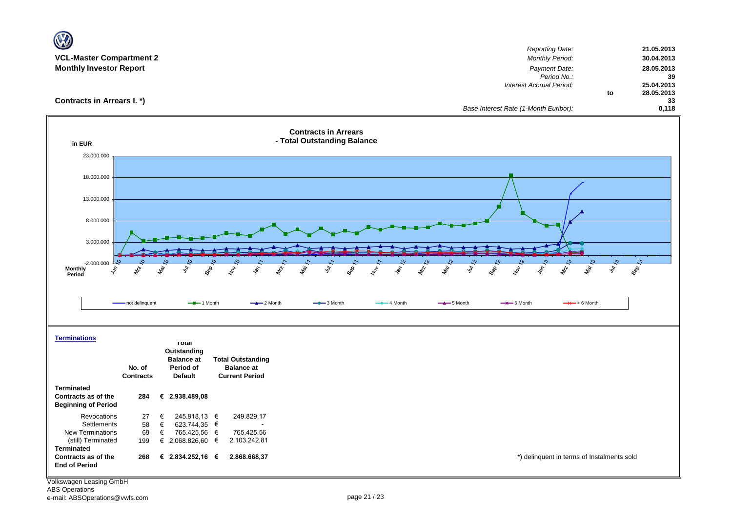| <b>VCL-Master Compartment 2</b>          |                                          |                                            |                                                            | <b>Reporting Date:</b>                                                                                        | 21.05.2013                     |
|------------------------------------------|------------------------------------------|--------------------------------------------|------------------------------------------------------------|---------------------------------------------------------------------------------------------------------------|--------------------------------|
| <b>Monthly Investor Report</b>           |                                          |                                            |                                                            | Monthly Period:<br>Payment Date:                                                                              | 30.04.2013<br>28.05.2013       |
|                                          |                                          |                                            |                                                            | Period No.:                                                                                                   | 39                             |
|                                          |                                          |                                            |                                                            | Interest Accrual Period:                                                                                      | 25.04.2013<br>28.05.2013<br>to |
| Contracts in Arrears I. *)               |                                          |                                            |                                                            |                                                                                                               | 33                             |
|                                          |                                          |                                            |                                                            | Base Interest Rate (1-Month Euribor):                                                                         | 0,118                          |
| in EUR                                   |                                          |                                            | <b>Contracts in Arrears</b><br>- Total Outstanding Balance |                                                                                                               |                                |
| 23.000.000                               |                                          |                                            |                                                            |                                                                                                               |                                |
|                                          |                                          |                                            |                                                            |                                                                                                               |                                |
| 18.000.000                               |                                          |                                            |                                                            |                                                                                                               |                                |
|                                          |                                          |                                            |                                                            |                                                                                                               |                                |
| 13.000.000                               |                                          |                                            |                                                            |                                                                                                               |                                |
| 8.000.000                                |                                          |                                            |                                                            |                                                                                                               |                                |
|                                          |                                          |                                            |                                                            |                                                                                                               |                                |
| 3.000.000                                |                                          |                                            |                                                            |                                                                                                               |                                |
|                                          |                                          |                                            |                                                            |                                                                                                               |                                |
| -2.000.000<br>Monthly<br>Peris<br>ş,     | taj.<br>ş<br>$\mathscr{E}_{\mathscr{V}}$ | GRR<br>Lov<br>ry<br>M<br>ş,                | la.<br>Va<br>Sep<br>\$<br>ş<br>Ş                           | lar.<br>Ma<br>lar.<br>Ma<br>ş<br>GBR<br>Lor<br>$\hat{\mathcal{S}}$<br>$z_{\!\!\!\!\!\!\!k\!p}^{\prime\prime}$ | S<br>Sep-<br>ş                 |
| Period                                   |                                          |                                            |                                                            |                                                                                                               |                                |
|                                          |                                          |                                            |                                                            |                                                                                                               |                                |
|                                          | - not delinquent                         | $-$ -1 Month<br>$-2$ Month                 | $ -$ 3 Month<br>$-$ 4 Month                                | $-$ 5 Month<br>$\rightarrow$ 6 Month<br>$\rightarrow$ > 6 Month                                               |                                |
|                                          |                                          |                                            |                                                            |                                                                                                               |                                |
|                                          |                                          |                                            |                                                            |                                                                                                               |                                |
| <b>Terminations</b>                      | <b>I</b> otal                            |                                            |                                                            |                                                                                                               |                                |
|                                          | Outstanding<br><b>Balance</b> at         | <b>Total Outstanding</b>                   |                                                            |                                                                                                               |                                |
|                                          | No. of<br>Period of                      | <b>Balance at</b>                          |                                                            |                                                                                                               |                                |
|                                          | <b>Contracts</b><br><b>Default</b>       | <b>Current Period</b>                      |                                                            |                                                                                                               |                                |
| <b>Terminated</b><br>Contracts as of the | € 2.938.489,08<br>284                    |                                            |                                                            |                                                                                                               |                                |
| <b>Beginning of Period</b>               |                                          |                                            |                                                            |                                                                                                               |                                |
| Revocations                              | 27<br>€                                  | 249.829,17<br>245.918,13 €                 |                                                            |                                                                                                               |                                |
| Settlements<br><b>New Terminations</b>   | 58<br>€<br>69<br>€                       | 623.744,35 €<br>765.425,56 €<br>765.425,56 |                                                            |                                                                                                               |                                |
| (still) Terminated                       | € 2.068.826,60 €<br>199                  | 2.103.242,81                               |                                                            |                                                                                                               |                                |
| <b>Terminated</b><br>Contracts as of the | € 2.834.252,16 €<br>268                  | 2.868.668,37                               |                                                            | *) delinquent in terms of Instalments sold                                                                    |                                |
| <b>End of Period</b>                     |                                          |                                            |                                                            |                                                                                                               |                                |
|                                          |                                          |                                            |                                                            |                                                                                                               |                                |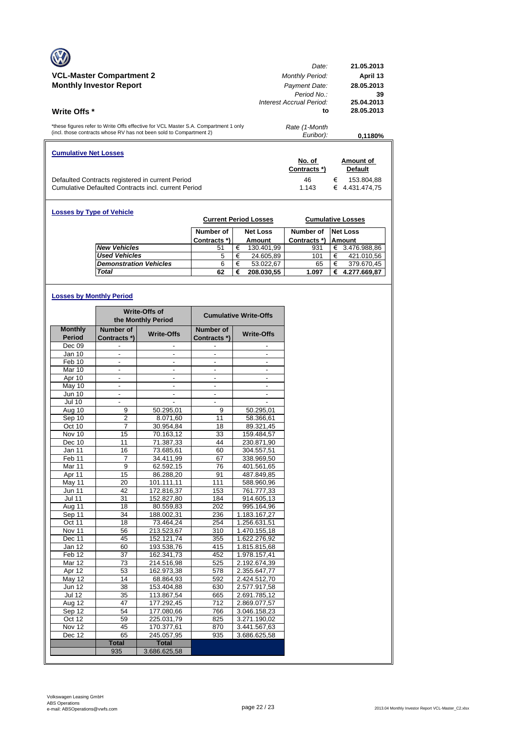|                                                                                     | Date:                    | 21.05.2013      |
|-------------------------------------------------------------------------------------|--------------------------|-----------------|
| <b>VCL-Master Compartment 2</b>                                                     | <b>Monthly Period:</b>   | April 13        |
| <b>Monthly Investor Report</b>                                                      | Payment Date:            | 28.05.2013      |
|                                                                                     | Period No.               | 39              |
|                                                                                     | Interest Accrual Period: | 25.04.2013      |
| <b>Write Offs</b> *                                                                 | to                       | 28.05.2013      |
|                                                                                     |                          |                 |
| *these figures refer to Write Offs effective for VCL Master S.A. Compartment 1 only | Rate (1-Month            |                 |
| (incl. those contracts whose RV has not been sold to Compartment 2)                 | Euribor):                | 0,1180%         |
| <b>Cumulative Net Losses</b>                                                        |                          |                 |
|                                                                                     | No. of                   | Amount of       |
|                                                                                     |                          |                 |
|                                                                                     | Contracts *)             | <b>Default</b>  |
| Defaulted Contracts registered in current Period                                    | 46                       | €<br>153.804.88 |

| <b>Losses by Type of Vehicle</b> | <b>Current Period Losses</b> |   | <b>Cumulative Losses</b> |              |   |                 |
|----------------------------------|------------------------------|---|--------------------------|--------------|---|-----------------|
|                                  | Number of                    |   | <b>Net Loss</b>          | Number of    |   | <b>Net Loss</b> |
|                                  | Contracts *)                 |   | Amount                   | Contracts *) |   | <b>Amount</b>   |
| <b>New Vehicles</b>              | 51                           | € | 130.401,99               | 931          | € | 3.476.988,86    |
| <b>Used Vehicles</b>             | 5                            | € | 24.605,89                | 101          | € | 421.010,56      |
| <b>Demonstration Vehicles</b>    | 6                            | € | 53.022.67                | 65           | € | 379.670,45      |
| <b>Total</b>                     | 62                           | € | 208.030,55               | 1.097        | € | 4.277.669,87    |

# **Losses by Monthly Period**

|                      |                          | Write-Offs of<br>the Monthly Period |                          | <b>Cumulative Write-Offs</b> |
|----------------------|--------------------------|-------------------------------------|--------------------------|------------------------------|
| <b>Monthly</b>       | Number of                | <b>Write-Offs</b>                   | Number of                | <b>Write-Offs</b>            |
| <b>Period</b>        | Contracts *)             |                                     | Contracts *)             |                              |
| Dec 09               |                          |                                     |                          |                              |
| Jan 10               |                          |                                     |                          |                              |
| Feb 10               | $\overline{\phantom{0}}$ | $\frac{1}{2}$                       | ٠                        | $\frac{1}{2}$                |
| Mar 10               | ä,                       | $\overline{a}$                      | $\overline{\phantom{0}}$ | $\overline{\phantom{a}}$     |
| Apr 10               |                          |                                     |                          |                              |
| May 10               | $\overline{\phantom{a}}$ | $\overline{\phantom{a}}$            | $\overline{\phantom{a}}$ | $\overline{\phantom{a}}$     |
| Jun 10               | $\frac{1}{2}$            | $\frac{1}{2}$                       | $\overline{\phantom{a}}$ | $\overline{\phantom{a}}$     |
| <b>Jul 10</b>        |                          |                                     |                          |                              |
| Aug 10               | 9                        | 50.295,01                           | 9                        | 50.295,01                    |
| Sep 10               | $\overline{\mathbf{c}}$  | 8.071,60                            | 11                       | 58.366,61                    |
| Oct 10               | 7                        | 30.954,84                           | 18                       | 89.321,45                    |
| $\overline{N}$ ov 10 | 15                       | 70.163.12                           | 33                       | 159.484,57                   |
| Dec 10               | 11                       | 71.387,33                           | 44                       | 230.871,90                   |
| Jan 11               | 16                       | 73.685,61                           | 60                       | 304.557,51                   |
| Feb <sub>11</sub>    | 7                        | 34.411,99                           | 67                       | 338.969,50                   |
| Mar <sub>11</sub>    | 9                        | 62.592,15                           | 76                       | 401.561,65                   |
| Apr 11               | 15                       | 86.288,20                           | 91                       | 487.849,85                   |
| May 11               | 20                       | 101.111,11                          | 111                      | 588.960,96                   |
| <b>Jun 11</b>        | 42                       | 172.816,37                          | 153                      | 761.777,33                   |
| <b>Jul 11</b>        | 31                       | 152.827,80                          | 184                      | 914.605,13                   |
| Aug 11               | 18                       | 80.559,83                           | 202                      | 995.164,96                   |
| Sep 11               | 34                       | 188.002,31                          | 236                      | 1.183.167,27                 |
| Oct 11               | 18                       | 73.464,24                           | 254                      | 1.256.631,51                 |
| Nov 11               | 56                       | 213.523,67                          | 310                      | 1.470.155,18                 |
| Dec 11               | 45                       | 152.121,74                          | 355                      | 1.622.276,92                 |
| Jan 12               | 60                       | 193.538,76                          | 415                      | 1.815.815,68                 |
| Feb <sub>12</sub>    | 37                       | 162.341,73                          | 452                      | 1.978.157,41                 |
| Mar 12               | 73                       | 214.516,98                          | 525                      | 2.192.674,39                 |
| Apr 12               | 53                       | 162.973,38                          | 578                      | 2.355.647,77                 |
| $M$ ay 12            | 14                       | 68.864.93                           | 592                      | 2.424.512,70                 |
| <b>Jun 12</b>        | 38                       | 153.404,88                          | 630                      | 2.577.917,58                 |
| <b>Jul 12</b>        | 35                       | 113.867,54                          | 665                      | 2.691.785,12                 |
| Aug 12               | 47                       | 177.292,45                          | $\overline{712}$         | 2.869.077,57                 |
| Sep 12               | 54                       | 177.080,66                          | 766                      | 3.046.158,23                 |
| Oct 12               | 59                       | 225.031,79                          | 825                      | 3.271.190,02                 |
| Nov 12               | 45                       | 170.377,61                          | 870                      | 3.441.567,63                 |
| Dec 12               | 65                       | 245.057,95                          | 935                      | 3.686.625,58                 |
|                      | <b>Total</b>             | <b>Total</b>                        |                          |                              |
|                      | 935                      | 3.686.625,58                        |                          |                              |